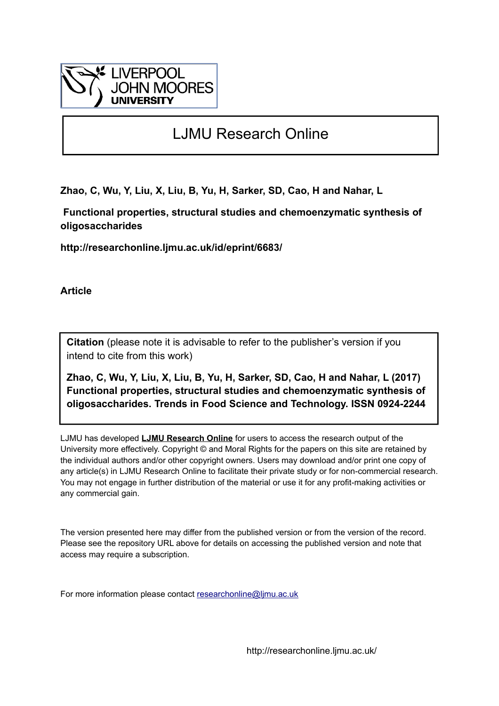

# LJMU Research Online

**Zhao, C, Wu, Y, Liu, X, Liu, B, Yu, H, Sarker, SD, Cao, H and Nahar, L**

 **Functional properties, structural studies and chemoenzymatic synthesis of oligosaccharides**

**http://researchonline.ljmu.ac.uk/id/eprint/6683/**

**Article**

**Citation** (please note it is advisable to refer to the publisher's version if you intend to cite from this work)

**Zhao, C, Wu, Y, Liu, X, Liu, B, Yu, H, Sarker, SD, Cao, H and Nahar, L (2017) Functional properties, structural studies and chemoenzymatic synthesis of oligosaccharides. Trends in Food Science and Technology. ISSN 0924-2244** 

LJMU has developed **[LJMU Research Online](http://researchonline.ljmu.ac.uk/)** for users to access the research output of the University more effectively. Copyright © and Moral Rights for the papers on this site are retained by the individual authors and/or other copyright owners. Users may download and/or print one copy of any article(s) in LJMU Research Online to facilitate their private study or for non-commercial research. You may not engage in further distribution of the material or use it for any profit-making activities or any commercial gain.

The version presented here may differ from the published version or from the version of the record. Please see the repository URL above for details on accessing the published version and note that access may require a subscription.

For more information please contact [researchonline@ljmu.ac.uk](mailto:researchonline@ljmu.ac.uk)

http://researchonline.ljmu.ac.uk/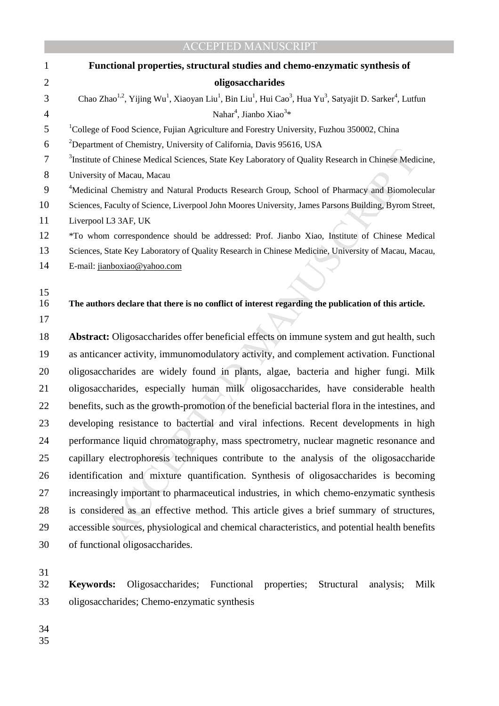|                | <b>ACCEPTED MANUSCRIPT</b>                                                                                                                                                                  |
|----------------|---------------------------------------------------------------------------------------------------------------------------------------------------------------------------------------------|
| 1              | Functional properties, structural studies and chemo-enzymatic synthesis of                                                                                                                  |
| $\overline{2}$ | oligosaccharides                                                                                                                                                                            |
| 3              | Chao Zhao <sup>1,2</sup> , Yijing Wu <sup>1</sup> , Xiaoyan Liu <sup>1</sup> , Bin Liu <sup>1</sup> , Hui Cao <sup>3</sup> , Hua Yu <sup>3</sup> , Satyajit D. Sarker <sup>4</sup> , Lutfun |
| 4              | Nahar <sup>4</sup> , Jianbo Xiao <sup>3*</sup>                                                                                                                                              |
| 5              | <sup>1</sup> College of Food Science, Fujian Agriculture and Forestry University, Fuzhou 350002, China                                                                                      |
| 6              | <sup>2</sup> Department of Chemistry, University of California, Davis 95616, USA                                                                                                            |
| 7              | <sup>3</sup> Institute of Chinese Medical Sciences, State Key Laboratory of Quality Research in Chinese Medicine,                                                                           |
| 8              | University of Macau, Macau                                                                                                                                                                  |
| 9              | <sup>4</sup> Medicinal Chemistry and Natural Products Research Group, School of Pharmacy and Biomolecular                                                                                   |
| 10             | Sciences, Faculty of Science, Liverpool John Moores University, James Parsons Building, Byrom Street,                                                                                       |
| 11             | Liverpool L3 3AF, UK                                                                                                                                                                        |
| 12             | *To whom correspondence should be addressed: Prof. Jianbo Xiao, Institute of Chinese Medical                                                                                                |
| 13             | Sciences, State Key Laboratory of Quality Research in Chinese Medicine, University of Macau, Macau,                                                                                         |
| 14             | E-mail: jianboxiao@yahoo.com                                                                                                                                                                |
| 15             |                                                                                                                                                                                             |
| 16             | The authors declare that there is no conflict of interest regarding the publication of this article.                                                                                        |
| 17             |                                                                                                                                                                                             |
| 18             | Abstract: Oligosaccharides offer beneficial effects on immune system and gut health, such                                                                                                   |
| 19             | as anticancer activity, immunomodulatory activity, and complement activation. Functional                                                                                                    |
| 20             | oligosaccharides are widely found in plants, algae, bacteria and higher fungi. Milk                                                                                                         |
| 21             | oligosaccharides, especially human milk oligosaccharides, have considerable health                                                                                                          |
| 22             | benefits, such as the growth-promotion of the beneficial bacterial flora in the intestines, and                                                                                             |
| 23             | developing resistance to bactertial and viral infections. Recent developments in high                                                                                                       |
| 24             | performance liquid chromatography, mass spectrometry, nuclear magnetic resonance and                                                                                                        |
| 25             | capillary electrophoresis techniques contribute to the analysis of the oligosaccharide                                                                                                      |
| 26             | identification and mixture quantification. Synthesis of oligosaccharides is becoming                                                                                                        |
| 27             | increasingly important to pharmaceutical industries, in which chemo-enzymatic synthesis                                                                                                     |
| 28             | is considered as an effective method. This article gives a brief summary of structures,                                                                                                     |
| 29             | accessible sources, physiological and chemical characteristics, and potential health benefits                                                                                               |
| 30             | of functional oligosaccharides.                                                                                                                                                             |
| 31             |                                                                                                                                                                                             |
| 32             | Oligosaccharides;<br>Functional<br><b>Keywords:</b><br>properties;<br>Structural<br>Milk<br>analysis;                                                                                       |
|                |                                                                                                                                                                                             |

33 oligosaccharides; Chemo-enzymatic synthesis

34

 $rac{35}{35}$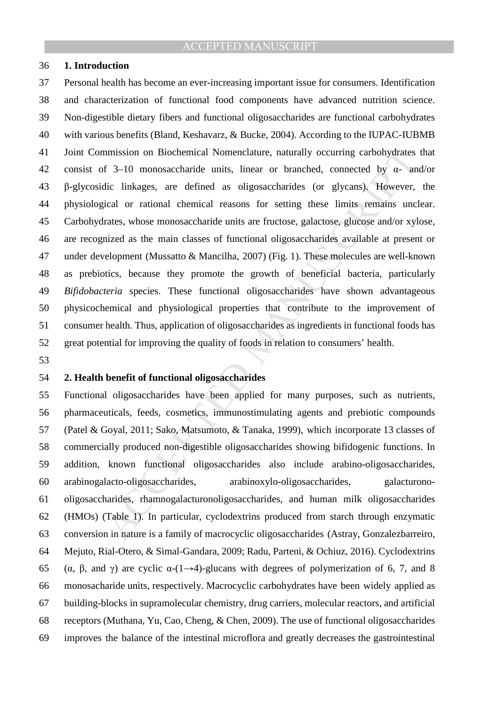### 36 **1. Introduction**

nmission on Biochemical Nomenclature, naturally occurring carbohydrates<br>
f 3–10 monosaccharide units, linear or branched, connected by d- an<br>
dic linkages, are defined as oligosaccharides (or glycans). However,<br>
ical or ra 37 Personal health has become an ever-increasing important issue for consumers. Identification 38 and characterization of functional food components have advanced nutrition science. 39 Non-digestible dietary fibers and functional oligosaccharides are functional carbohydrates 40 with various benefits (Bland, Keshavarz, & Bucke, 2004). According to the IUPAC-IUBMB 41 Joint Commission on Biochemical Nomenclature, naturally occurring carbohydrates that 42 consist of 3–10 monosaccharide units, linear or branched, connected by α- and/or 43 β-glycosidic linkages, are defined as oligosaccharides (or glycans). However, the 44 physiological or rational chemical reasons for setting these limits remains unclear. 45 Carbohydrates, whose monosaccharide units are fructose, galactose, glucose and/or xylose, 46 are recognized as the main classes of functional oligosaccharides available at present or 47 under development (Mussatto & Mancilha, 2007) (Fig. 1). These molecules are well-known 48 as prebiotics, because they promote the growth of beneficial bacteria, particularly 49 *Bifidobacteria* species. These functional oligosaccharides have shown advantageous 50 physicochemical and physiological properties that contribute to the improvement of 51 consumer health. Thus, application of oligosaccharides as ingredients in functional foods has 52 great potential for improving the quality of foods in relation to consumers' health.

53

### 54 **2. Health benefit of functional oligosaccharides**

55 Functional oligosaccharides have been applied for many purposes, such as nutrients, 56 pharmaceuticals, feeds, cosmetics, immunostimulating agents and prebiotic compounds 57 (Patel & Goyal, 2011; Sako, Matsumoto, & Tanaka, 1999), which incorporate 13 classes of 58 commercially produced non-digestible oligosaccharides showing bifidogenic functions. In 59 addition, known functional oligosaccharides also include arabino-oligosaccharides, 60 arabinogalacto-oligosaccharides, arabinoxylo-oligosaccharides, galacturono-61 oligosaccharides, rhamnogalacturonoligosaccharides, and human milk oligosaccharides 62 (HMOs) (Table 1). In particular, cyclodextrins produced from starch through enzymatic 63 conversion in nature is a family of macrocyclic oligosaccharides (Astray, Gonzalezbarreiro, 64 Mejuto, Rial-Otero, & Simal-Gandara, 2009; Radu, Parteni, & Ochiuz, 2016). Cyclodextrins 65 (α, β, and γ) are cyclic  $\alpha$ -(1→4)-glucans with degrees of polymerization of 6, 7, and 8 66 monosacharide units, respectively. Macrocyclic carbohydrates have been widely applied as 67 building-blocks in supramolecular chemistry, drug carriers, molecular reactors, and artificial 68 receptors (Muthana, Yu, Cao, Cheng, & Chen, 2009). The use of functional oligosaccharides 69 improves the balance of the intestinal microflora and greatly decreases the gastrointestinal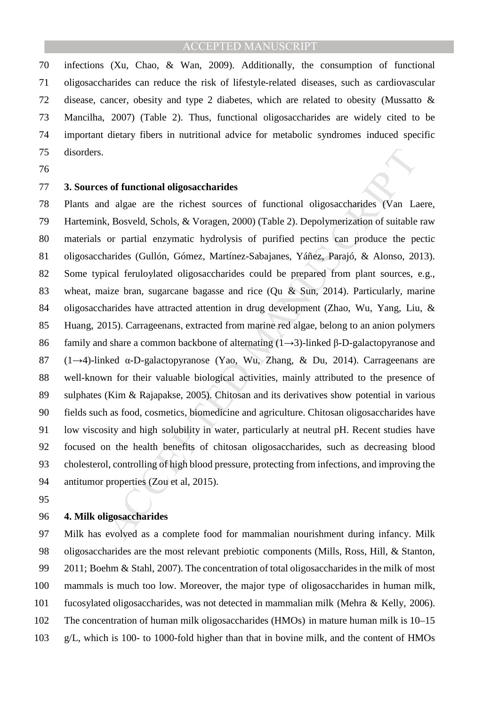70 infections (Xu, Chao, & Wan, 2009). Additionally, the consumption of functional 71 oligosaccharides can reduce the risk of lifestyle-related diseases, such as cardiovascular 72 disease, cancer, obesity and type 2 diabetes, which are related to obesity (Mussatto & 73 Mancilha, 2007) (Table 2). Thus, functional oligosaccharides are widely cited to be 74 important dietary fibers in nutritional advice for metabolic syndromes induced specific 75 disorders.

76

### 77 **3. Sources of functional oligosaccharides**

s of functional oligosaccharides<br>
d algae are the richest sources of functional oligosaccharides (Van La<br>
k, Bosveld, Schols, & Voragen, 2000) (Table 2). Depolymerization of suitable<br>
or partial enzymatic hydrolysis of pu 78 Plants and algae are the richest sources of functional oligosaccharides (Van Laere, 79 Hartemink, Bosveld, Schols, & Voragen, 2000) (Table 2). Depolymerization of suitable raw 80 materials or partial enzymatic hydrolysis of purified pectins can produce the pectic 81 oligosaccharides (Gullón, Gómez, Martínez-Sabajanes, Yáñez, Parajó, & Alonso, 2013). 82 Some typical feruloylated oligosaccharides could be prepared from plant sources, e.g., 83 wheat, maize bran, sugarcane bagasse and rice (Qu & Sun, 2014). Particularly, marine 84 oligosaccharides have attracted attention in drug development (Zhao, Wu, Yang, Liu, & 85 Huang, 2015). Carrageenans, extracted from marine red algae, belong to an anion polymers 86 family and share a common backbone of alternating (1→3)-linked β-D-galactopyranose and 87 (1→4)-linked α-D-galactopyranose (Yao, Wu, Zhang, & Du, 2014). Carrageenans are 88 well-known for their valuable biological activities, mainly attributed to the presence of 89 sulphates (Kim & Rajapakse, 2005). Chitosan and its derivatives show potential in various 90 fields such as food, cosmetics, biomedicine and agriculture. Chitosan oligosaccharides have 91 low viscosity and high solubility in water, particularly at neutral pH. Recent studies have 92 focused on the health benefits of chitosan oligosaccharides, such as decreasing blood 93 cholesterol, controlling of high blood pressure, protecting from infections, and improving the 94 antitumor properties (Zou et al, 2015).

95

### 96 **4. Milk oligosaccharides**

97 Milk has evolved as a complete food for mammalian nourishment during infancy. Milk 98 oligosaccharides are the most relevant prebiotic components (Mills, Ross, Hill, & Stanton, 99 2011; Boehm & Stahl, 2007). The concentration of total oligosaccharides in the milk of most 100 mammals is much too low. Moreover, the major type of oligosaccharides in human milk, 101 fucosylated oligosaccharides, was not detected in mammalian milk (Mehra & Kelly, 2006). 102 The concentration of human milk oligosaccharides (HMOs) in mature human milk is 10–15 103 g/L, which is 100- to 1000-fold higher than that in bovine milk, and the content of HMOs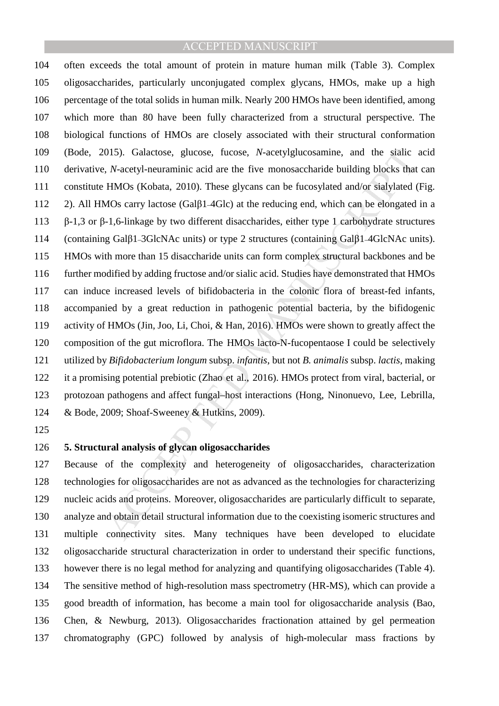015). Galactose, glucose, fucose, *N*-acetylglucosamine, and the sialic *n*, *N*-acetyl-neuraminic acid are the five monosaccharide building blocks that HMOs (Kobata, 2010). These glycans can be fucosylated and/or sialyla 104 often exceeds the total amount of protein in mature human milk (Table 3). Complex 105 oligosaccharides, particularly unconjugated complex glycans, HMOs, make up a high 106 percentage of the total solids in human milk. Nearly 200 HMOs have been identified, among 107 which more than 80 have been fully characterized from a structural perspective. The 108 biological functions of HMOs are closely associated with their structural conformation 109 (Bode, 2015). Galactose, glucose, fucose, *N*-acetylglucosamine, and the sialic acid 110 derivative, *N*-acetyl-neuraminic acid are the five monosaccharide building blocks that can 111 constitute HMOs (Kobata, 2010). These glycans can be fucosylated and/or sialylated (Fig. 112 2). All HMOs carry lactose (Galβ1*–*4Glc) at the reducing end, which can be elongated in a 113 β-1,3 or β-1,6-linkage by two different disaccharides, either type 1 carbohydrate structures 114 (containing Galβ1*–*3GlcNAc units) or type 2 structures (containing Galβ1*–*4GlcNAc units). 115 HMOs with more than 15 disaccharide units can form complex structural backbones and be 116 further modified by adding fructose and/or sialic acid. Studies have demonstrated that HMOs 117 can induce increased levels of bifidobacteria in the colonic flora of breast-fed infants, 118 accompanied by a great reduction in pathogenic potential bacteria, by the bifidogenic 119 activity of HMOs (Jin, Joo, Li, Choi, & Han, 2016). HMOs were shown to greatly affect the 120 composition of the gut microflora. The HMOs lacto-N-fucopentaose I could be selectively 121 utilized by *Bifidobacterium longum* subsp. *infantis*, but not *B. animalis* subsp. *lactis*, making 122 it a promising potential prebiotic (Zhao et al., 2016). HMOs protect from viral, bacterial, or 123 protozoan pathogens and affect fungal–host interactions (Hong, Ninonuevo, Lee, Lebrilla, 124 & Bode, 2009; Shoaf-Sweeney & Hutkins, 2009).

125

# 126 **5. Structural analysis of glycan oligosaccharides**

127 Because of the complexity and heterogeneity of oligosaccharides, characterization 128 technologies for oligosaccharides are not as advanced as the technologies for characterizing 129 nucleic acids and proteins. Moreover, oligosaccharides are particularly difficult to separate, 130 analyze and obtain detail structural information due to the coexisting isomeric structures and 131 multiple connectivity sites. Many techniques have been developed to elucidate 132 oligosaccharide structural characterization in order to understand their specific functions, 133 however there is no legal method for analyzing and quantifying oligosaccharides (Table 4). 134 The sensitive method of high-resolution mass spectrometry (HR-MS), which can provide a 135 good breadth of information, has become a main tool for oligosaccharide analysis (Bao, 136 Chen, & Newburg, 2013). Oligosaccharides fractionation attained by gel permeation 137 chromatography (GPC) followed by analysis of high-molecular mass fractions by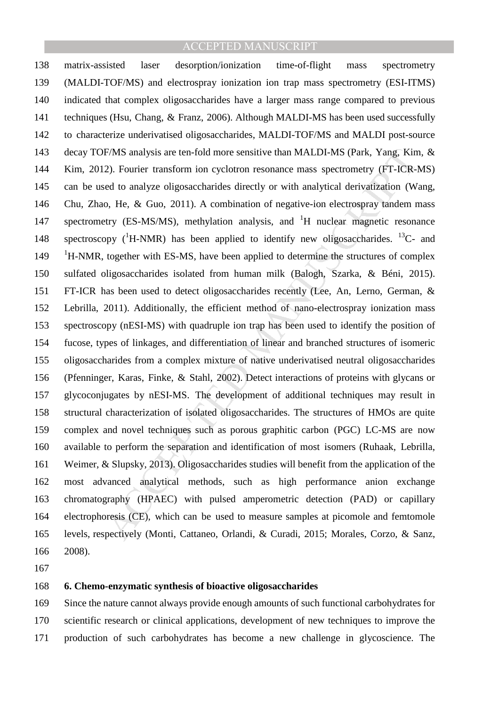F/MS analysis are ten-fold more sensitive than MALDI-MS (Park, Yang, Kin<br>2). Fourier transform ion cyclotron resonance mass spectrometry (FT-ICR-<br>ed to analyze oligosaccharides directly or with analytical derivatization (W 138 matrix-assisted laser desorption/ionization time-of-flight mass spectrometry 139 (MALDI-TOF/MS) and electrospray ionization ion trap mass spectrometry (ESI-ITMS) 140 indicated that complex oligosaccharides have a larger mass range compared to previous 141 techniques (Hsu, Chang, & Franz, 2006). Although MALDI-MS has been used successfully 142 to characterize underivatised oligosaccharides, MALDI-TOF/MS and MALDI post-source 143 decay TOF/MS analysis are ten-fold more sensitive than MALDI-MS (Park, Yang, Kim, & 144 Kim, 2012). Fourier transform ion cyclotron resonance mass spectrometry (FT-ICR-MS) 145 can be used to analyze oligosaccharides directly or with analytical derivatization (Wang, 146 Chu, Zhao, He, & Guo, 2011). A combination of negative-ion electrospray tandem mass 147 spectrometry (ES-MS/MS), methylation analysis, and <sup>1</sup>H nuclear magnetic resonance 148 spectroscopy  $({}^{1}H\text{-NMR})$  has been applied to identify new oligosaccharides. <sup>13</sup>C- and <sup>1</sup>H-NMR, together with ES-MS, have been applied to determine the structures of complex 150 sulfated oligosaccharides isolated from human milk (Balogh, Szarka, & Béni, 2015). 151 FT-ICR has been used to detect oligosaccharides recently (Lee, An, Lerno, German, & 152 Lebrilla, 2011). Additionally, the efficient method of nano-electrospray ionization mass 153 spectroscopy (nESI-MS) with quadruple ion trap has been used to identify the position of 154 fucose, types of linkages, and differentiation of linear and branched structures of isomeric 155 oligosaccharides from a complex mixture of native underivatised neutral oligosaccharides 156 (Pfenninger, Karas, Finke, & Stahl, 2002). Detect interactions of proteins with glycans or 157 glycoconjugates by nESI-MS. The development of additional techniques may result in 158 structural characterization of isolated oligosaccharides. The structures of HMOs are quite 159 complex and novel techniques such as porous graphitic carbon (PGC) LC-MS are now 160 available to perform the separation and identification of most isomers (Ruhaak, Lebrilla, 161 Weimer, & Slupsky, 2013). Oligosaccharides studies will benefit from the application of the 162 most advanced analytical methods, such as high performance anion exchange 163 chromatography (HPAEC) with pulsed amperometric detection (PAD) or capillary 164 electrophoresis (CE), which can be used to measure samples at picomole and femtomole 165 levels, respectively (Monti, Cattaneo, Orlandi, & Curadi, 2015; Morales, Corzo, & Sanz, 166 2008).

167

# 168 **6. Chemo-enzymatic synthesis of bioactive oligosaccharides**

169 Since the nature cannot always provide enough amounts of such functional carbohydrates for 170 scientific research or clinical applications, development of new techniques to improve the 171 production of such carbohydrates has become a new challenge in glycoscience. The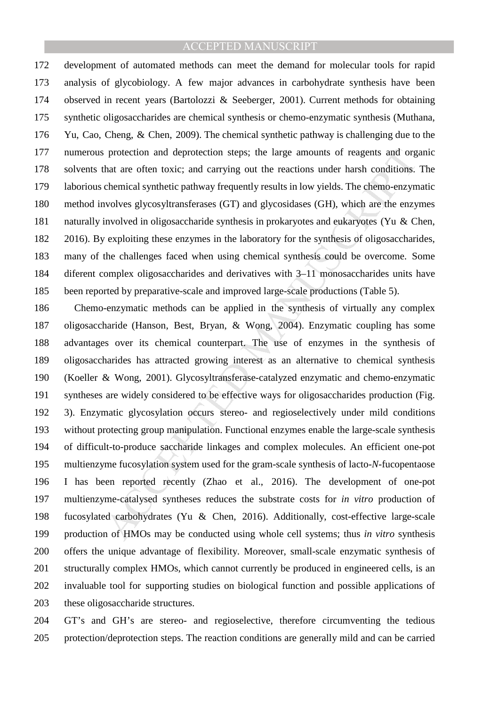172 development of automated methods can meet the demand for molecular tools for rapid 173 analysis of glycobiology. A few major advances in carbohydrate synthesis have been 174 observed in recent years (Bartolozzi & Seeberger, 2001). Current methods for obtaining 175 synthetic oligosaccharides are chemical synthesis or chemo-enzymatic synthesis (Muthana, 176 Yu, Cao, Cheng, & Chen, 2009). The chemical synthetic pathway is challenging due to the 177 numerous protection and deprotection steps; the large amounts of reagents and organic 178 solvents that are often toxic; and carrying out the reactions under harsh conditions. The 179 laborious chemical synthetic pathway frequently results in low yields. The chemo-enzymatic 180 method involves glycosyltransferases (GT) and glycosidases (GH), which are the enzymes 181 naturally involved in oligosaccharide synthesis in prokaryotes and eukaryotes (Yu & Chen, 182 2016). By exploiting these enzymes in the laboratory for the synthesis of oligosaccharides, 183 many of the challenges faced when using chemical synthesis could be overcome. Some 184 diferent complex oligosaccharides and derivatives with 3–11 monosaccharides units have 185 been reported by preparative-scale and improved large-scale productions (Table 5).

protection and deprotection steps; the large amounts of reagents and org<br>hat are often toxic; and carrying out the reactions under harsh conditions.<br>chemical synthetic pathway frequently results in low yields. The chemo-e 186 Chemo-enzymatic methods can be applied in the synthesis of virtually any complex 187 oligosaccharide (Hanson, Best, Bryan, & Wong, 2004). Enzymatic coupling has some 188 advantages over its chemical counterpart. The use of enzymes in the synthesis of 189 oligosaccharides has attracted growing interest as an alternative to chemical synthesis 190 (Koeller & Wong, 2001). Glycosyltransferase-catalyzed enzymatic and chemo-enzymatic 191 syntheses are widely considered to be effective ways for oligosaccharides production (Fig. 192 3). Enzymatic glycosylation occurs stereo- and regioselectively under mild conditions 193 without protecting group manipulation. Functional enzymes enable the large-scale synthesis 194 of difficult-to-produce saccharide linkages and complex molecules. An efficient one-pot 195 multienzyme fucosylation system used for the gram-scale synthesis of lacto-*N*-fucopentaose 196 I has been reported recently (Zhao et al., 2016). The development of one-pot 197 multienzyme-catalysed syntheses reduces the substrate costs for *in vitro* production of 198 fucosylated carbohydrates (Yu & Chen, 2016). Additionally, cost-effective large-scale 199 production of HMOs may be conducted using whole cell systems; thus *in vitro* synthesis 200 offers the unique advantage of flexibility. Moreover, small-scale enzymatic synthesis of 201 structurally complex HMOs, which cannot currently be produced in engineered cells, is an 202 invaluable tool for supporting studies on biological function and possible applications of 203 these oligosaccharide structures.

204 GT's and GH's are stereo- and regioselective, therefore circumventing the tedious 205 protection/deprotection steps. The reaction conditions are generally mild and can be carried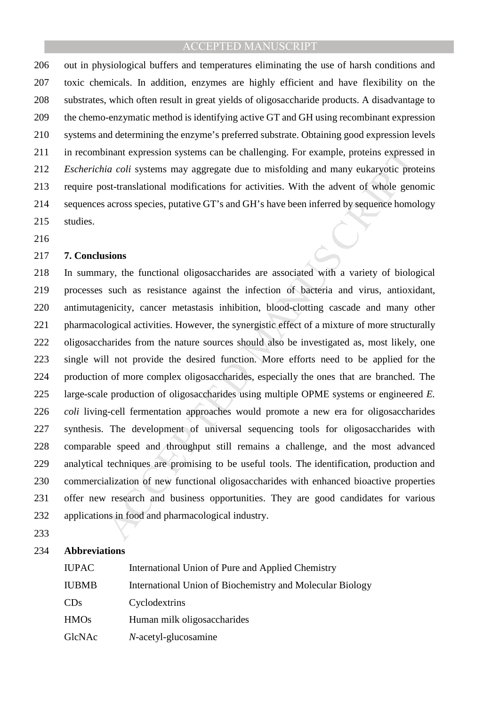206 out in physiological buffers and temperatures eliminating the use of harsh conditions and 207 toxic chemicals. In addition, enzymes are highly efficient and have flexibility on the 208 substrates, which often result in great yields of oligosaccharide products. A disadvantage to 209 the chemo-enzymatic method is identifying active GT and GH using recombinant expression 210 systems and determining the enzyme's preferred substrate. Obtaining good expression levels 211 in recombinant expression systems can be challenging. For example, proteins expressed in 212 *Escherichia coli* systems may aggregate due to misfolding and many eukaryotic proteins 213 require post-translational modifications for activities. With the advent of whole genomic 214 sequences across species, putative GT's and GH's have been inferred by sequence homology 215 studies.

216

### 217 **7. Conclusions**

inant expression systems can be challenging. For example, proteins expresse<br>
ia coli systems may aggregate due to misfolding and many eukaryotic prot<br>
ISSL-translational modifications for activities. With the advent of wh 218 In summary, the functional oligosaccharides are associated with a variety of biological 219 processes such as resistance against the infection of bacteria and virus, antioxidant, 220 antimutagenicity, cancer metastasis inhibition, blood-clotting cascade and many other 221 pharmacological activities. However, the synergistic effect of a mixture of more structurally 222 oligosaccharides from the nature sources should also be investigated as, most likely, one 223 single will not provide the desired function. More efforts need to be applied for the 224 production of more complex oligosaccharides, especially the ones that are branched. The 225 large-scale production of oligosaccharides using multiple OPME systems or engineered *E.*  226 *coli* living-cell fermentation approaches would promote a new era for oligosaccharides 227 synthesis. The development of universal sequencing tools for oligosaccharides with 228 comparable speed and throughput still remains a challenge, and the most advanced 229 analytical techniques are promising to be useful tools. The identification, production and 230 commercialization of new functional oligosaccharides with enhanced bioactive properties 231 offer new research and business opportunities. They are good candidates for various 232 applications in food and pharmacological industry.

233

#### 234 **Abbreviations**

| <b>IUPAC</b> | International Union of Pure and Applied Chemistry         |
|--------------|-----------------------------------------------------------|
| IUBMB        | International Union of Biochemistry and Molecular Biology |
| CDs          | Cyclodextrins                                             |
| <b>HMOs</b>  | Human milk oligosaccharides                               |
| GlcNAc       | N-acetyl-glucosamine                                      |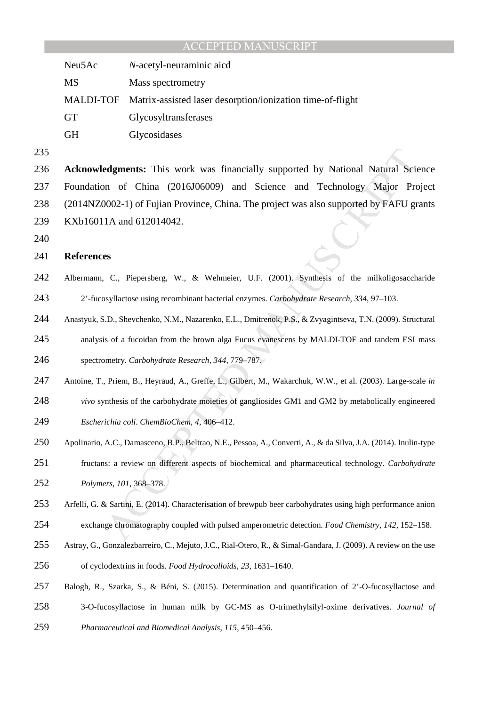| Neu5Ac    | N-acetyl-neuraminic aicd                                             |
|-----------|----------------------------------------------------------------------|
| MS        | Mass spectrometry                                                    |
|           | MALDI-TOF Matrix-assisted laser desorption/ionization time-of-flight |
| <b>GT</b> | Glycosyltransferases                                                 |
| <b>GH</b> | Glycosidases                                                         |

**edgments:** This work was financially supported by National Natural Scienc on of China (2016106009) and Science and Technology Major Pro<br>
2002-1) of Fujian Province, China. The project was also supported by FAFU graphed an **Acknowledgments:** This work was financially supported by National Natural Science 237 Foundation of China (2016J06009) and Science and Technology Major Project 238 (2014NZ0002-1) of Fujian Province, China. The project was also supported by FAFU grants 239 KXb16011A and 612014042.

### **References**

- Albermann, C., Piepersberg, W., & Wehmeier, U.F. (2001). Synthesis of the milkoligosaccharide 2'-fucosyllactose using recombinant bacterial enzymes. *Carbohydrate Research*, *334*, 97–103.
- Anastyuk, S.D., Shevchenko, N.M., Nazarenko, E.L., Dmitrenok, P.S., & Zvyagintseva, T.N. (2009). Structural
- analysis of a fucoidan from the brown alga Fucus evanescens by MALDI-TOF and tandem ESI mass spectrometry. *Carbohydrate Research, 344*, 779–787.
- Antoine, T., Priem, B., Heyraud, A., Greffe, L., Gilbert, M., Wakarchuk, W.W., et al. (2003). Large-scale *in*
- *vivo* synthesis of the carbohydrate moieties of gangliosides GM1 and GM2 by metabolically engineered
- *Escherichia coli*. *ChemBioChem*, *4*, 406–412.
- Apolinario, A.C., Damasceno, B.P., Beltrao, N.E., Pessoa, A., Converti, A., & da Silva, J.A. (2014). Inulin-type
- fructans: a review on different aspects of biochemical and pharmaceutical technology. *Carbohydrate Polymers*, *101*, 368–378.
- Arfelli, G. & Sartini, E. (2014). Characterisation of brewpub beer carbohydrates using high performance anion
- exchange chromatography coupled with pulsed amperometric detection. *Food Chemistry*, *142*, 152–158.
- Astray, G., Gonzalezbarreiro, C., Mejuto, J.C., Rial-Otero, R., & Simal-Gandara, J. (2009). A review on the use
- of cyclodextrins in foods. *Food Hydrocolloids*, *23*, 1631–1640.
- Balogh, R., Szarka, S., & Béni, S. (2015). Determination and quantification of 2'-O-fucosyllactose and 3-O-fucosyllactose in human milk by GC-MS as O-trimethylsilyl-oxime derivatives. *Journal of*
- *Pharmaceutical and Biomedical Analysis*, *115*, 450–456.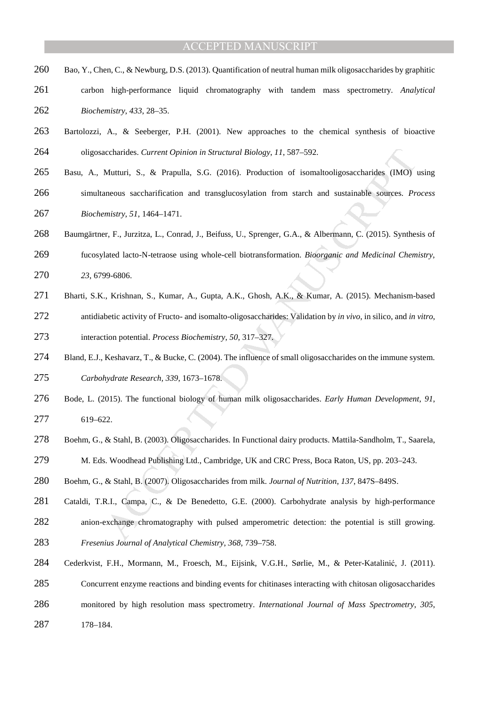- 260 Bao, Y., Chen, C., & Newburg, D.S. (2013). Quantification of neutral human milk oligosaccharides by graphitic
- carbon high-performance liquid chromatography with tandem mass spectrometry. *Analytical Biochemistry*, *433*, 28–35.
- Bartolozzi, A., & Seeberger, P.H. (2001). New approaches to the chemical synthesis of bioactive oligosaccharides. *Current Opinion in Structural Biology*, *11*, 587–592.
- Basu, A., Mutturi, S., & Prapulla, S.G. (2016). Production of isomaltooligosaccharides (IMO) using
- simultaneous saccharification and transglucosylation from starch and sustainable sources. *Process Biochemistry*, *51*, 1464–1471.
- Baumgärtner, F., Jurzitza, L., Conrad, J., Beifuss, U., Sprenger, G.A., & Albermann, C. (2015). Synthesis of
- fucosylated lacto-N-tetraose using whole-cell biotransformation. *Bioorganic and Medicinal Chemistry*, *23*, 6799-6806.
- Bharti, S.K., Krishnan, S., Kumar, A., Gupta, A.K., Ghosh, A.K., & Kumar, A. (2015). Mechanism-based antidiabetic activity of Fructo- and isomalto-oligosaccharides: Validation by *in vivo*, in silico, and *in vitro*,
- interaction potential. *Process Biochemistry*, *50*, 317–327.
- 274 Bland, E.J., Keshavarz, T., & Bucke, C. (2004). The influence of small oligosaccharides on the immune system. *Carbohydrate Research, 339*, 1673–1678.
- Bode, L. (2015). The functional biology of human milk oligosaccharides. *Early Human Development*, *91*, 619–622.
- Boehm, G., & Stahl, B. (2003). Oligosaccharides. In Functional dairy products. Mattila-Sandholm, T., Saarela,
- M. Eds. Woodhead Publishing Ltd., Cambridge, UK and CRC Press, Boca Raton, US, pp. 203–243.
- Boehm, G., & Stahl, B. (2007). Oligosaccharides from milk. *Journal of Nutrition*, *137*, 847S–849S.
- iccharides. *Current Opinion in Structural Biology, 11*, 587–592.<br>
Mutturi, S., & Prapulla, S.G. (2016). Production of isomaloobligosaccharides (IMO) v<br>
aneous saccharification and transglucosylation from starch and sustai Cataldi, T.R.I., Campa, C., & De Benedetto, G.E. (2000). Carbohydrate analysis by high-performance anion-exchange chromatography with pulsed amperometric detection: the potential is still growing.
- *Fresenius Journal of Analytical Chemistry*, *368*, 739–758.
- Cederkvist, F.H., Mormann, M., Froesch, M., Eijsink, V.G.H., Sørlie, M., & Peter-Katalinić, J. (2011).
- Concurrent enzyme reactions and binding events for chitinases interacting with chitosan oligosaccharides
- monitored by high resolution mass spectrometry. *International Journal of Mass Spectrometry*, *305*,
- 178–184.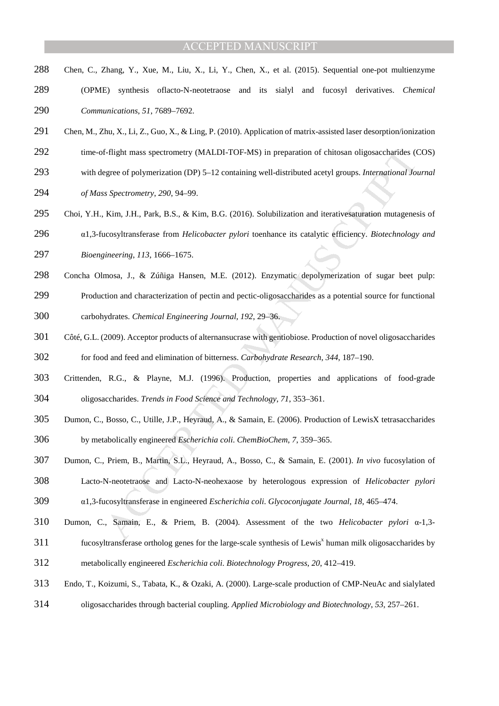- Chen, C., Zhang, Y., Xue, M., Liu, X., Li, Y., Chen, X., et al. (2015). Sequential one-pot multienzyme
- (OPME) synthesis oflacto-N-neotetraose and its sialyl and fucosyl derivatives. *Chemical Communications*, *51*, 7689–7692.
- Chen, M., Zhu, X., Li, Z., Guo, X., & Ling, P. (2010). Application of matrix-assisted laser desorption/ionization
- 292 time-of-flight mass spectrometry (MALDI-TOF-MS) in preparation of chitosan oligosaccharides (COS)
- with degree of polymerization (DP) 5–12 containing well-distributed acetyl groups. *International Journal*
- *of Mass Spectrometry*, *290*, 94–99.
- Choi, Y.H., Kim, J.H., Park, B.S., & Kim, B.G. (2016). Solubilization and iterativesaturation mutagenesis of
- α1,3-fucosyltransferase from *Helicobacter pylori* toenhance its catalytic efficiency. *Biotechnology and*
- *Bioengineering*, *113*, 1666–1675.
- Concha Olmosa, J., & Zúñiga Hansen, M.E. (2012). Enzymatic depolymerization of sugar beet pulp:
- Production and characterization of pectin and pectic-oligosaccharides as a potential source for functional
- carbohydrates. *Chemical Engineering Journal*, *192*, 29–36.
- E-flight mass spectrometry (MALDI-TOF-MS) in preparation of chitosan oligosaccharides (6<br>
spectrometry, 290, 94–99,<br>
Sopectrometry, 290, 94–99,<br>
Kim, J.H., Park, B.S., & Kim, B.G. (2016). Solubilization and iterativesatur Côté, G.L. (2009). Acceptor products of alternansucrase with gentiobiose. Production of novel oligosaccharides for food and feed and elimination of bitterness. *Carbohydrate Research*, *344*, 187–190.
- Crittenden, R.G., & Playne, M.J. (1996). Production, properties and applications of food-grade oligosaccharides. *Trends in Food Science and Technology*, *71*, 353–361.
- Dumon, C., Bosso, C., Utille, J.P., Heyraud, A., & Samain, E. (2006). Production of LewisX tetrasaccharides
- by metabolically engineered *Escherichia coli*. *ChemBioChem*, *7*, 359–365.
- Dumon, C., Priem, B., Martin, S.L., Heyraud, A., Bosso, C., & Samain, E. (2001). *In vivo* fucosylation of
- Lacto-N-neotetraose and Lacto-N-neohexaose by heterologous expression of *Helicobacter pylori*
- α1,3-fucosyltransferase in engineered *Escherichia coli*. *Glycoconjugate Journal*, *18*, 465–474.
- Dumon, C., Samain, E., & Priem, B. (2004). Assessment of the two *Helicobacter pylori* α-1,3-
- 311 fucosyltransferase ortholog genes for the large-scale synthesis of Lewis<sup>x</sup> human milk oligosaccharides by
- metabolically engineered *Escherichia coli*. *Biotechnology Progress*, *20*, 412–419.
- Endo, T., Koizumi, S., Tabata, K., & Ozaki, A. (2000). Large-scale production of CMP-NeuAc and sialylated
- oligosaccharides through bacterial coupling. *Applied Microbiology and Biotechnology*, *53*, 257–261.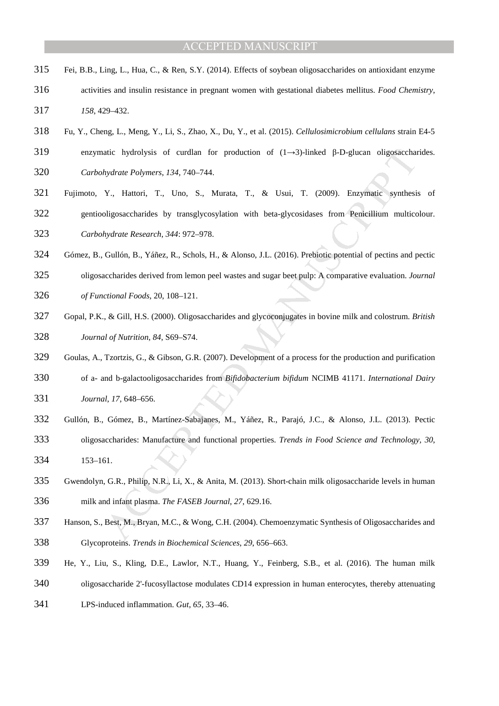- Fei, B.B., Ling, L., Hua, C., & Ren, S.Y. (2014). Effects of soybean oligosaccharides on antioxidant enzyme
- activities and insulin resistance in pregnant women with gestational diabetes mellitus. *Food Chemistry*, *158*, 429–432.
- Fu, Y., Cheng, L., Meng, Y., Li, S., Zhao, X., Du, Y., et al. (2015). *Cellulosimicrobium cellulans* strain E4-5
- enzymatic hydrolysis of curdlan for production of (1→3)-linked β-D-glucan oligosaccharides.
- *Carbohydrate Polymers*, *134*, 740–744.
- atic hydrolysis of curdian for production of  $(1-3)$ -linked  $\beta$ -D-glucan oligosacchat<br>hydrate Polymers, 134, 740-744.<br>Y., Hattori, T., Uno, S., Murata, T., & Usui, T. (2009). Enzymatic synthesis<br>higosaccharides by transg Fujimoto, Y., Hattori, T., Uno, S., Murata, T., & Usui, T. (2009). Enzymatic synthesis of gentiooligosaccharides by transglycosylation with beta-glycosidases from Penicillium multicolour. *Carbohydrate Research*, *344*: 972–978.
- 
- Gómez, B., Gullón, B., Yáñez, R., Schols, H., & Alonso, J.L. (2016). Prebiotic potential of pectins and pectic
- oligosaccharides derived from lemon peel wastes and sugar beet pulp: A comparative evaluation. *Journal*
- *of Functional Foods*, 20, 108–121.
- Gopal, P.K., & Gill, H.S. (2000). Oligosaccharides and glycoconjugates in bovine milk and colostrum. *British Journal of Nutrition*, *84*, S69–S74.
- Goulas, A., Tzortzis, G., & Gibson, G.R. (2007). Development of a process for the production and purification
- of a- and b-galactooligosaccharides from *Bifidobacterium bifidum* NCIMB 41171. *International Dairy*
- *Journal*, *17*, 648–656.
- Gullón, B., Gómez, B., Martínez-Sabajanes, M., Yáñez, R., Parajó, J.C., & Alonso, J.L. (2013). Pectic
- oligosaccharides: Manufacture and functional properties. *Trends in Food Science and Technology, 30*, 153–161.
- Gwendolyn, G.R., Philip, N.R., Li, X., & Anita, M. (2013). Short-chain milk oligosaccharide levels in human milk and infant plasma. *The FASEB Journal*, *27*, 629.16.
- Hanson, S., Best, M., Bryan, M.C., & Wong, C.H. (2004). Chemoenzymatic Synthesis of Oligosaccharides and Glycoproteins. *Trends in Biochemical Sciences*, *29*, 656–663.
- He, Y., Liu, S., Kling, D.E., Lawlor, N.T., Huang, Y., Feinberg, S.B., et al. (2016). The human milk
- oligosaccharide 2'-fucosyllactose modulates CD14 expression in human enterocytes, thereby attenuating
- LPS-induced inflammation. *Gut*, *65*, 33–46.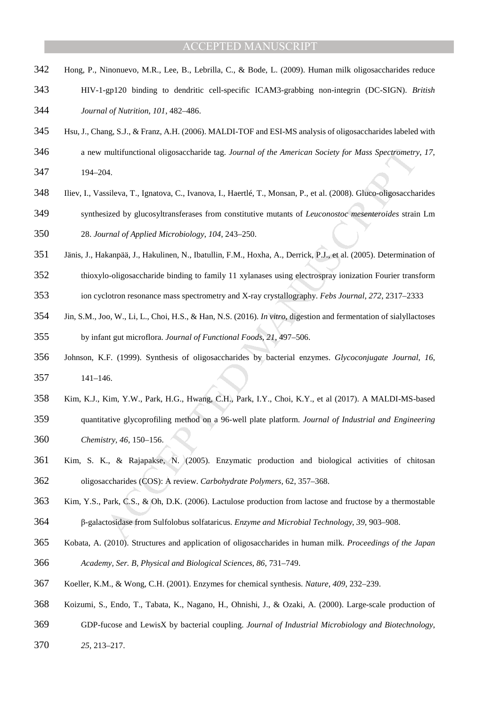- Hong, P., Ninonuevo, M.R., Lee, B., Lebrilla, C., & Bode, L. (2009). Human milk oligosaccharides reduce
- HIV-1-gp120 binding to dendritic cell-specific ICAM3-grabbing non-integrin (DC-SIGN). *British Journal of Nutrition*, *101*, 482–486.
- Hsu, J., Chang, S.J., & Franz, A.H. (2006). MALDI-TOF and ESI-MS analysis of oligosaccharides labeled with
- a new multifunctional oligosaccharide tag. *Journal of the American Society for Mass Spectrometry*, *17*,
- 194–204.
- Iliev, I., Vassileva, T., Ignatova, C., Ivanova, I., Haertlé, T., Monsan, P., et al. (2008). Gluco-oligosaccharides
- synthesized by glucosyltransferases from constitutive mutants of *Leuconostoc mesenteroides* strain Lm
- 28. *Journal of Applied Microbiology*, *104*, 243–250.
- Jänis, J., Hakanpää, J., Hakulinen, N., Ibatullin, F.M., Hoxha, A., Derrick, P.J., et al. (2005). Determination of
- thioxylo-oligosaccharide binding to family 11 xylanases using electrospray ionization Fourier transform
- ion cyclotron resonance mass spectrometry and X-ray crystallography. *Febs Journal*, *272*, 2317–2333
- Jin, S.M., Joo, W., Li, L., Choi, H.S., & Han, N.S. (2016). *In vitro*, digestion and fermentation of sialyllactoses by infant gut microflora. *Journal of Functional Foods*, *21*, 497–506.
- Johnson, K.F. (1999). Synthesis of oligosaccharides by bacterial enzymes. *Glycoconjugate Journal*, *16*, 141–146.
- Kim, K.J., Kim, Y.W., Park, H.G., Hwang, C.H., Park, I.Y., Choi, K.Y., et al (2017). A MALDI-MS-based
- multifunctional oligosaccharide tag. Journal of the American Society for Mass Spectrometry<br>
24.<br>
sisileva, T., Ignatova, C., Ivanova, I., Haertlé, T., Monsan, P., et al. (2008). Glueo-oligosaccha<br>
sisileva, T., Ignatova, C quantitative glycoprofiling method on a 96-well plate platform. *Journal of Industrial and Engineering Chemistry, 46*, 150–156.
- Kim, S. K., & Rajapakse, N. (2005). Enzymatic production and biological activities of chitosan oligosaccharides (COS): A review. *Carbohydrate Polymers,* 62, 357–368.
- Kim, Y.S., Park, C.S., & Oh, D.K. (2006). Lactulose production from lactose and fructose by a thermostable
- β-galactosidase from Sulfolobus solfataricus. *Enzyme and Microbial Technology*, *39*, 903–908.
- Kobata, A. (2010). Structures and application of oligosaccharides in human milk. *Proceedings of the Japan Academy, Ser. B, Physical and Biological Sciences*, *86*, 731–749.
- Koeller, K.M., & Wong, C.H. (2001). Enzymes for chemical synthesis. *Nature, 409*, 232–239.
- Koizumi, S., Endo, T., Tabata, K., Nagano, H., Ohnishi, J., & Ozaki, A. (2000). Large-scale production of
- GDP-fucose and LewisX by bacterial coupling. *Journal of Industrial Microbiology and Biotechnology*,
- *25*, 213–217.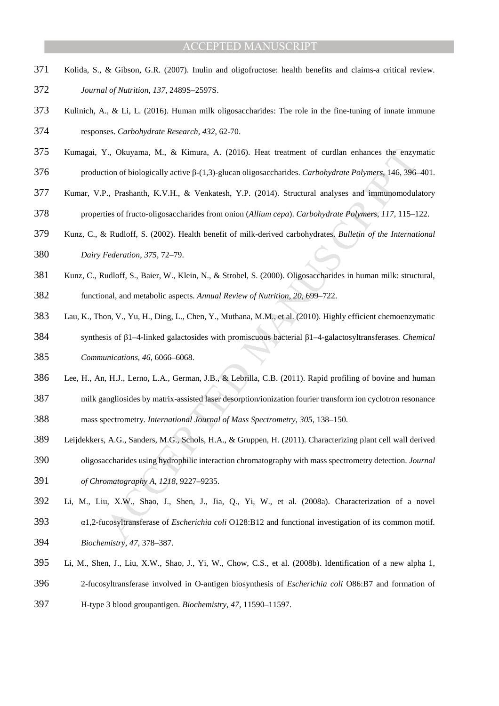- Kolida, S., & Gibson, G.R. (2007). Inulin and oligofructose: health benefits and claims-a critical review.
- *Journal of Nutrition*, *137*, 2489S–2597S.
- Kulinich, A., & Li, L. (2016). Human milk oligosaccharides: The role in the fine-tuning of innate immune
- responses. *Carbohydrate Research*, *432*, 62-70.
- Kumagai, Y., Okuyama, M., & Kimura, A. (2016). Heat treatment of curdlan enhances the enzymatic
- production of biologically active β-(1,3)-glucan oligosaccharides. *Carbohydrate Polymers*, 146, 396–401.
- Kumar, V.P., Prashanth, K.V.H., & Venkatesh, Y.P. (2014). Structural analyses and immunomodulatory
- properties of fructo-oligosaccharides from onion (*Allium cepa*). *Carbohydrate Polymers*, *117*, 115–122.
- Kunz, C., & Rudloff, S. (2002). Health benefit of milk-derived carbohydrates. *Bulletin of the International Dairy Federation*, *375*, 72–79.
- Kunz, C., Rudloff, S., Baier, W., Klein, N., & Strobel, S. (2000). Oligosaccharides in human milk: structural,
- functional, and metabolic aspects. *Annual Review of Nutrition*, *20*, 699–722.
- Lau, K., Thon, V., Yu, H., Ding, L., Chen, Y., Muthana, M.M., et al. (2010). Highly efficient chemoenzymatic
- synthesis of β1–4-linked galactosides with promiscuous bacterial β1–4-galactosyltransferases. *Chemical Communications*, *46*, 6066–6068.
- Lee, H., An, H.J., Lerno, L.A., German, J.B., & Lebrilla, C.B. (2011). Rapid profiling of bovine and human
- milk gangliosides by matrix-assisted laser desorption/ionization fourier transform ion cyclotron resonance mass spectrometry. *International Journal of Mass Spectrometry*, *305*, 138–150.
- Leijdekkers, A.G., Sanders, M.G., Schols, H.A., & Gruppen, H. (2011). Characterizing plant cell wall derived
- oligosaccharides using hydrophilic interaction chromatography with mass spectrometry detection. *Journal of Chromatography A*, *1218*, 9227–9235.
- *x*., Okuyama, M., & Kimura, A. (2016). Heat treatment of curdian enhances the enzytion of biologically active β-(1,3)-glucan oligosaccharides. Carbohydrate Polymers, 146, 396-<br>
P., Prashanth, K.V.H., & Venkatesh, Y.P. (2 Li, M., Liu, X.W., Shao, J., Shen, J., Jia, Q., Yi, W., et al. (2008a). Characterization of a novel α1,2-fucosyltransferase of *Escherichia coli* O128:B12 and functional investigation of its common motif.
- *Biochemistry, 47*, 378–387.
- Li, M., Shen, J., Liu, X.W., Shao, J., Yi, W., Chow, C.S., et al. (2008b). Identification of a new alpha 1,
- 2-fucosyltransferase involved in O-antigen biosynthesis of *Escherichia coli* O86:B7 and formation of
- H-type 3 blood groupantigen. *Biochemistry*, *47*, 11590–11597.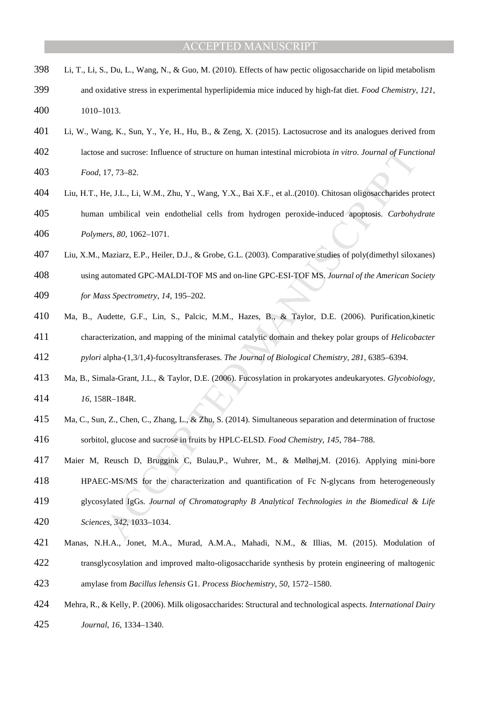- Li, T., Li, S., Du, L., Wang, N., & Guo, M. (2010). Effects of haw pectic oligosaccharide on lipid metabolism
- and oxidative stress in experimental hyperlipidemia mice induced by high-fat diet. *Food Chemistry*, *121*, 1010–1013.
- Li, W., Wang, K., Sun, Y., Ye, H., Hu, B., & Zeng, X. (2015). Lactosucrose and its analogues derived from
- lactose and sucrose: Influence of structure on human intestinal microbiota *in vitro*. *Journal of Functional*
- *Food*, 17, 73–82.
- and sucrose: Influence of structure on human intestinal microbiota *in vitro. Journal of Funci*<br>17, 73–82.<br>
Ec. J.L., Li, W.M., Zhu, Y., Wang, Y.X., Bai X.F., et al.,(2010). Chitosan oligosaccharides pr<br>
umbilical vein end Liu, H.T., He, J.L., Li, W.M., Zhu, Y., Wang, Y.X., Bai X.F., et al..(2010). Chitosan oligosaccharides protect human umbilical vein endothelial cells from hydrogen peroxide-induced apoptosis. *Carbohydrate Polymers*, *80*, 1062–1071.
- Liu, X.M., Maziarz, E.P., Heiler, D.J., & Grobe, G.L. (2003). Comparative studies of poly(dimethyl siloxanes)
- using automated GPC-MALDI-TOF MS and on-line GPC-ESI-TOF MS. *Journal of the American Society*
- *for Mass Spectrometry*, *14*, 195–202.
- Ma, B., Audette, G.F., Lin, S., Palcic, M.M., Hazes, B., & Taylor, D.E. (2006). Purification,kinetic characterization, and mapping of the minimal catalytic domain and thekey polar groups of *Helicobacter pylori* alpha-(1,3/1,4)-fucosyltransferases. *The Journal of Biological Chemistry*, *281*, 6385–6394.
- Ma, B., Simala-Grant, J.L., & Taylor, D.E. (2006). Fucosylation in prokaryotes andeukaryotes. *Glycobiology,*
- *16*, 158R–184R.
- Ma, C., Sun, Z., Chen, C., Zhang, L., & Zhu, S. (2014). Simultaneous separation and determination of fructose sorbitol, glucose and sucrose in fruits by HPLC-ELSD. *Food Chemistry*, *145*, 784–788.
- Maier M, Reusch D, Bruggink C, Bulau,P., Wuhrer, M., & Mølhøj,M. (2016). Applying mini-bore
- HPAEC-MS/MS for the characterization and quantification of Fc N-glycans from heterogeneously
- glycosylated IgGs. *Journal of Chromatography B Analytical Technologies in the Biomedical & Life*
- *Sciences*, *342*, 1033–1034.
- Manas, N.H.A., Jonet, M.A., Murad, A.M.A., Mahadi, N.M., & Illias, M. (2015). Modulation of transglycosylation and improved malto-oligosaccharide synthesis by protein engineering of maltogenic
- amylase from *Bacillus lehensis* G1. *Process Biochemistry*, *50*, 1572–1580.
- Mehra, R., & Kelly, P. (2006). Milk oligosaccharides: Structural and technological aspects. *International Dairy*
- *Journal*, *16*, 1334–1340.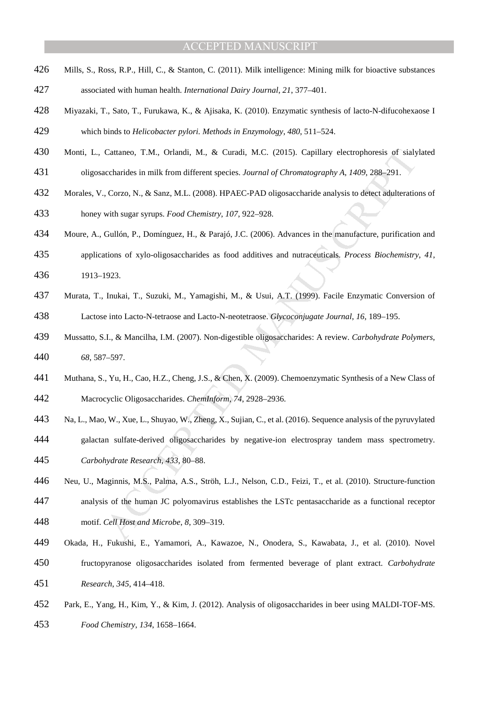- Mills, S., Ross, R.P., Hill, C., & Stanton, C. (2011). Milk intelligence: Mining milk for bioactive substances
- associated with human health. *International Dairy Journal*, *21*, 377–401.
- Miyazaki, T., Sato, T., Furukawa, K., & Ajisaka, K. (2010). Enzymatic synthesis of lacto-N-difucohexaose I

which binds to *Helicobacter pylori. Methods in Enzymology*, *480*, 511–524.

- Monti, L., Cattaneo, T.M., Orlandi, M., & Curadi, M.C. (2015). Capillary electrophoresis of sialylated
- oligosaccharides in milk from different species. *Journal of Chromatography A*, *1409*, 288–291.
- Morales, V., Corzo, N., & Sanz, M.L. (2008). HPAEC-PAD oligosaccharide analysis to detect adulterations of honey with sugar syrups. *Food Chemistry*, *107*, 922–928.
- Moure, A., Gullón, P., Domínguez, H., & Parajó, J.C. (2006). Advances in the manufacture, purification and
- applications of xylo-oligosaccharides as food additives and nutraceuticals. *Process Biochemistry*, *41*, 1913–1923.
- Murata, T., Inukai, T., Suzuki, M., Yamagishi, M., & Usui, A.T. (1999). Facile Enzymatic Conversion of Lactose into Lacto-N-tetraose and Lacto-N-neotetraose. *Glycoconjugate Journal*, *16*, 189–195.
- Mussatto, S.I., & Mancilha, I.M. (2007). Non-digestible oligosaccharides: A review. *Carbohydrate Polymers*, *68*, 587–597.
- Muthana, S., Yu, H., Cao, H.Z., Cheng, J.S., & Chen, X. (2009). Chemoenzymatic Synthesis of a New Class of
- Macrocyclic Oligosaccharides. *ChemInform*, *74*, 2928–2936.
- Na, L., Mao, W., Xue, L., Shuyao, W., Zheng, X., Sujian, C., et al. (2016). Sequence analysis of the pyruvylated
- galactan sulfate-derived oligosaccharides by negative-ion electrospray tandem mass spectrometry. *Carbohydrate Research*, *433*, 80–88.
- Cattaneo, T.M., Orlandi, M., & Caradi, M.C. (2015). Capillary electrophoresis of sialy<br>
sccharides in milk from different species. Journal of Chromatography A, 1409, 288-291.<br>
Corzo, N., & Sanz, M.L. (2008). HPAEC-PAD olig Neu, U., Maginnis, M.S., Palma, A.S., Ströh, L.J., Nelson, C.D., Feizi, T., et al. (2010). Structure-function analysis of the human JC polyomavirus establishes the LSTc pentasaccharide as a functional receptor
- motif. *Cell Host and Microbe*, *8*, 309–319.
- Okada, H., Fukushi, E., Yamamori, A., Kawazoe, N., Onodera, S., Kawabata, J., et al. (2010). Novel fructopyranose oligosaccharides isolated from fermented beverage of plant extract. *Carbohydrate Research*, *345*, 414–418.
- Park, E., Yang, H., Kim, Y., & Kim, J. (2012). Analysis of oligosaccharides in beer using MALDI-TOF-MS.
- *Food Chemistry*, *134*, 1658–1664.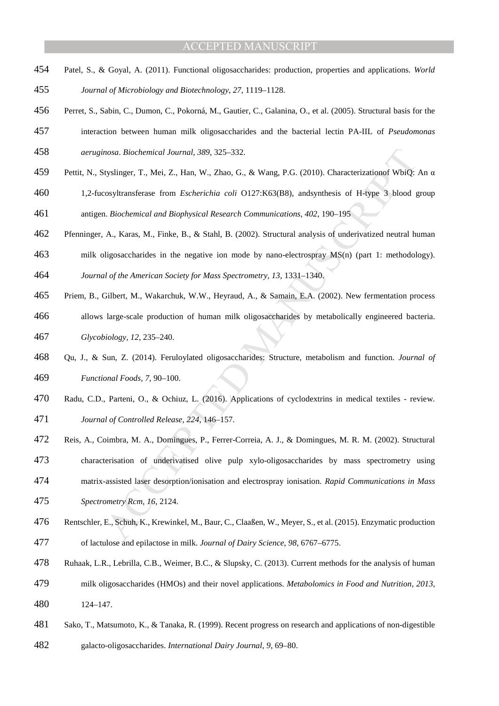- Patel, S., & Goyal, A. (2011). Functional oligosaccharides: production, properties and applications. *World*
- *Journal of Microbiology and Biotechnology*, *27*, 1119–1128.
- Perret, S., Sabin, C., Dumon, C., Pokorná, M., Gautier, C., Galanina, O., et al. (2005). Structural basis for the
- interaction between human milk oligosaccharides and the bacterial lectin PA-IIL of *Pseudomonas aeruginosa*. *Biochemical Journal*, *389*, 325–332.
- Pettit, N., Styslinger, T., Mei, Z., Han, W., Zhao, G., & Wang, P.G. (2010). Characterizationof WbiQ: An α
- atosa. Biochemical Journal, 389, 325-332.<br>
visilinger, T., Msi, Z., Han, W., Zhao, G., & Wang, P.G. (2010). Characterization<br>of WbiQ:<br>
cosyltransferase from *Escherichia coli* 0127:K63(B8), and<br>synthesis of H-type 3 blood 1,2-fucosyltransferase from *Escherichia coli* O127:K63(B8), andsynthesis of H-type 3 blood group antigen. *Biochemical and Biophysical Research Communications*, *402*, 190–195
- Pfenninger, A., Karas, M., Finke, B., & Stahl, B. (2002). Structural analysis of underivatized neutral human
- milk oligosaccharides in the negative ion mode by nano-electrospray MS(n) (part 1: methodology).
- *Journal of the American Society for Mass Spectrometry*, *13*, 1331–1340.
- Priem, B., Gilbert, M., Wakarchuk, W.W., Heyraud, A., & Samain, E.A. (2002). New fermentation process
- allows large-scale production of human milk oligosaccharides by metabolically engineered bacteria.
- *Glycobiology*, *12*, 235–240.
- Qu, J., & Sun, Z. (2014). Feruloylated oligosaccharides: Structure, metabolism and function. *Journal of Functional Foods, 7*, 90–100.
- Radu, C.D., Parteni, O., & Ochiuz, L. (2016). Applications of cyclodextrins in medical textiles review. *Journal of Controlled Release, 224*, 146–157.
- Reis, A., Coimbra, M. A., Domingues, P., Ferrer-Correia, A. J., & Domingues, M. R. M. (2002). Structural
- characterisation of underivatised olive pulp xylo-oligosaccharides by mass spectrometry using
- matrix-assisted laser desorption/ionisation and electrospray ionisation. *Rapid Communications in Mass*
- *Spectrometry Rcm*, *16*, 2124.
- Rentschler, E., Schuh, K., Krewinkel, M., Baur, C., Claaßen, W., Meyer, S., et al. (2015). Enzymatic production of lactulose and epilactose in milk. *Journal of Dairy Science*, *98*, 6767–6775.
- Ruhaak, L.R., Lebrilla, C.B., Weimer, B.C., & Slupsky, C. (2013). Current methods for the analysis of human
- milk oligosaccharides (HMOs) and their novel applications. *Metabolomics in Food and Nutrition, 2013*,
- 124–147.
- Sako, T., Matsumoto, K., & Tanaka, R. (1999). Recent progress on research and applications of non-digestible
- galacto-oligosaccharides. *International Dairy Journal, 9*, 69–80.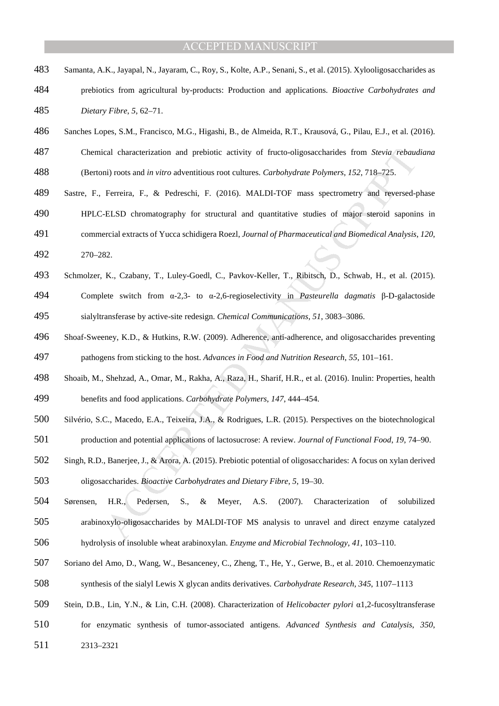- Samanta, A.K., Jayapal, N., Jayaram, C., Roy, S., Kolte, A.P., Senani, S., et al. (2015). Xylooligosaccharides as
- prebiotics from agricultural by-products: Production and applications. *Bioactive Carbohydrates and Dietary Fibre*, *5*, 62–71.
- Sanches Lopes, S.M., Francisco, M.G., Higashi, B., de Almeida, R.T., Krausová, G., Pilau, E.J., et al. (2016).
- Chemical characterization and prebiotic activity of fructo-oligosaccharides from *Stevia rebaudiana*
- (Bertoni) roots and *in vitro* adventitious root cultures. *Carbohydrate Polymers*, *152*, 718–725.
- Sastre, F., Ferreira, F., & Pedreschi, F. (2016). MALDI-TOF mass spectrometry and reversed-phase
- HPLC-ELSD chromatography for structural and quantitative studies of major steroid saponins in
- commercial extracts of Yucca schidigera Roezl, *Journal of Pharmaceutical and Biomedical Analysis*, *120*,
- 270–282.
- Schmolzer, K., Czabany, T., Luley-Goedl, C., Pavkov-Keller, T., Ribitsch, D., Schwab, H., et al. (2015).
- Complete switch from α-2,3- to α-2,6-regioselectivity in *Pasteurella dagmatis* β-D-galactoside sialyltransferase by active-site redesign. *Chemical Communications*, *51*, 3083–3086.
- Shoaf-Sweeney, K.D., & Hutkins, R.W. (2009). Adherence, anti-adherence, and oligosaccharides preventing pathogens from sticking to the host. *Advances in Food and Nutrition Research*, *55*, 101–161.
- Shoaib, M., Shehzad, A., Omar, M., Rakha, A., Raza, H., Sharif, H.R., et al. (2016). Inulin: Properties, health

benefits and food applications. *Carbohydrate Polymers*, *147*, 444–454.

- Silvério, S.C., Macedo, E.A., Teixeira, J.A., & Rodrigues, L.R. (2015). Perspectives on the biotechnological
- production and potential applications of lactosucrose: A review. *Journal of Functional Food*, *19*, 74–90.
- Singh, R.D., Banerjee, J., & Arora, A. (2015). Prebiotic potential of oligosaccharides: A focus on xylan derived oligosaccharides. *Bioactive Carbohydrates and Dietary Fibre*, *5*, 19–30.
- cal characterization and prebiotic activity of fructo-oligosaccharides from *Stevia* rebauting<br>mi) roots and *in vitro* adventitious root cultures. *Carbohydrate Polymers*, 152, 718-725.<br>Ferreira, F., & Pedreschi, F. (201 Sørensen, H.R., Pedersen, S., & Meyer, A.S. (2007). Characterization of solubilized arabinoxylo-oligosaccharides by MALDI-TOF MS analysis to unravel and direct enzyme catalyzed
- hydrolysis of insoluble wheat arabinoxylan. *Enzyme and Microbial Technology*, *41*, 103–110.
- Soriano del Amo, D., Wang, W., Besanceney, C., Zheng, T., He, Y., Gerwe, B., et al. 2010. Chemoenzymatic synthesis of the sialyl Lewis X glycan andits derivatives. *Carbohydrate Research*, *345*, 1107–1113
- Stein, D.B., Lin, Y.N., & Lin, C.H. (2008). Characterization of *Helicobacter pylori* α1,2-fucosyltransferase
- 
- for enzymatic synthesis of tumor-associated antigens. *Advanced Synthesis and Catalysis*, *350*,
- 2313–2321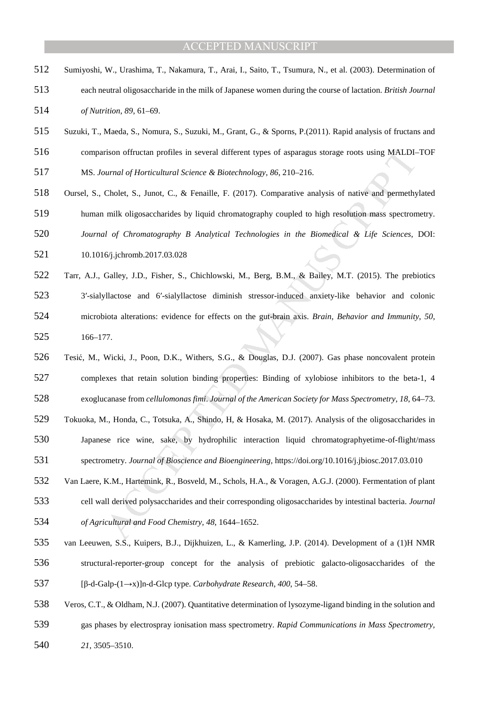- Sumiyoshi, W., Urashima, T., Nakamura, T., Arai, I., Saito, T., Tsumura, N., et al. (2003). Determination of
- each neutral oligosaccharide in the milk of Japanese women during the course of lactation. *British Journal of Nutrition*, *89*, 61–69.
- Suzuki, T., Maeda, S., Nomura, S., Suzuki, M., Grant, G., & Sporns, P.(2011). Rapid analysis of fructans and
- comparison offructan profiles in several different types of asparagus storage roots using MALDI–TOF
- MS. *Journal of Horticultural Science & Biotechnology*, *86*, 210–216.
- Oursel, S., Cholet, S., Junot, C., & Fenaille, F. (2017). Comparative analysis of native and permethylated
- human milk oligosaccharides by liquid chromatography coupled to high resolution mass spectrometry.
- *Journal of Chromatography B Analytical Technologies in the Biomedical & Life Sciences*, DOI:
- 10.1016/j.jchromb.2017.03.028
- erison of tructan profiles in several different types of asparagus storage roots using MALDI-<br>narrad of Horricultural Science & Biotechnology, 86, 210-216.<br>Cholet, S., Junot, C., & Fenaille, F. (2017). Comparative analysi Tarr, A.J., Galley, J.D., Fisher, S., Chichlowski, M., Berg, B.M., & Bailey, M.T. (2015). The prebiotics 3′-sialyllactose and 6′-sialyllactose diminish stressor-induced anxiety-like behavior and colonic microbiota alterations: evidence for effects on the gut-brain axis. *Brain, Behavior and Immunity*, *50*, 166–177.
- Tesić, M., Wicki, J., Poon, D.K., Withers, S.G., & Douglas, D.J. (2007). Gas phase noncovalent protein complexes that retain solution binding properties: Binding of xylobiose inhibitors to the beta-1, 4
- exoglucanase from *cellulomonas fimi*. *Journal of the American Society for Mass Spectrometry*, *18*, 64–73.
- Tokuoka, M., Honda, C., Totsuka, A., Shindo, H, & Hosaka, M. (2017). Analysis of the oligosaccharides in
- Japanese rice wine, sake, by hydrophilic interaction liquid chromatographyetime-of-flight/mass
- spectrometry. *Journal of Bioscience and Bioengineering,* https://doi.org/10.1016/j.jbiosc.2017.03.010
- Van Laere, K.M., Hartemink, R., Bosveld, M., Schols, H.A., & Voragen, A.G.J. (2000). Fermentation of plant cell wall derived polysaccharides and their corresponding oligosaccharides by intestinal bacteria. *Journal*
- *of Agricultural and Food Chemistry, 48*, 1644–1652.
- van Leeuwen, S.S., Kuipers, B.J., Dijkhuizen, L., & Kamerling, J.P. (2014). Development of a (1)H NMR structural-reporter-group concept for the analysis of prebiotic galacto-oligosaccharides of the [β-d-Galp-(1→x)]n-d-Glcp type. *Carbohydrate Research*, *400*, 54–58.
- Veros, C.T., & Oldham, N.J. (2007). Quantitative determination of lysozyme-ligand binding in the solution and gas phases by electrospray ionisation mass spectrometry. *Rapid Communications in Mass Spectrometry,*
- *21*, 3505–3510.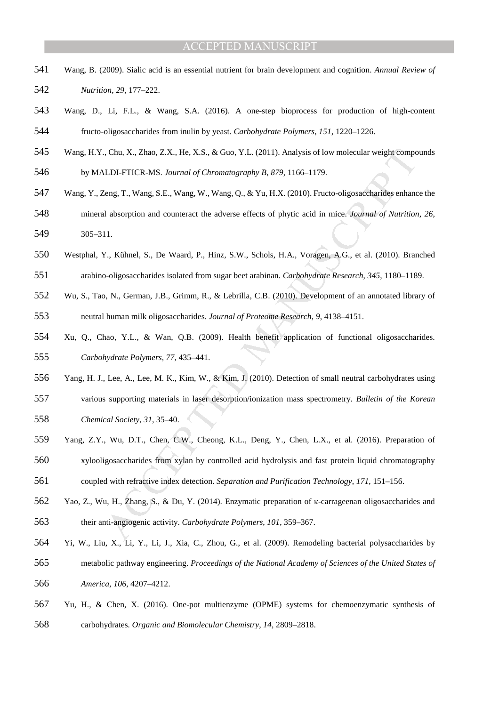- Wang, B. (2009). Sialic acid is an essential nutrient for brain development and cognition. *Annual Review of Nutrition*, *29*, 177–222.
- Wang, D., Li, F.L., & Wang, S.A. (2016). A one-step bioprocess for production of high-content fructo-oligosaccharides from inulin by yeast. *Carbohydrate Polymers*, *151*, 1220–1226.
- Wang, H.Y., Chu, X., Zhao, Z.X., He, X.S., & Guo, Y.L. (2011). Analysis of low molecular weight compounds
- by MALDI-FTICR-MS. *Journal of Chromatography B*, *879*, 1166–1179.
- Wang, Y., Zeng, T., Wang, S.E., Wang, W., Wang, Q., & Yu, H.X. (2010). Fructo-oligosaccharides enhance the
- mineral absorption and counteract the adverse effects of phytic acid in mice. *Journal of Nutrition*, *26*, 305–311.
- Westphal, Y., Kühnel, S., De Waard, P., Hinz, S.W., Schols, H.A., Voragen, A.G., et al. (2010). Branched
- arabino-oligosaccharides isolated from sugar beet arabinan. *Carbohydrate Research*, *345*, 1180–1189.
- Wu, S., Tao, N., German, J.B., Grimm, R., & Lebrilla, C.B. (2010). Development of an annotated library of neutral human milk oligosaccharides. *Journal of Proteome Research*, *9*, 4138–4151.
- (Chu, X., Zhao, Z.X., He, X.S., & Guo, Y.L. (2011). Analysis of low molecular weight compo<br>
LDI-FTICR-MS. Journal of Chromatography B, 879, 1166–1179.<br>
Eeng, T., Wang, S.E., Wang, W., Wang, Q., & Yu, H.X. (2010). Fructo-ol Xu, Q., Chao, Y.L., & Wan, Q.B. (2009). Health benefit application of functional oligosaccharides. *Carbohydrate Polymers, 77*, 435–441.
- Yang, H. J., Lee, A., Lee, M. K., Kim, W., & Kim, J. (2010). Detection of small neutral carbohydrates using
- various supporting materials in laser desorption/ionization mass spectrometry. *Bulletin of the Korean Chemical Society*, *31*, 35–40.
- Yang, Z.Y., Wu, D.T., Chen, C.W., Cheong, K.L., Deng, Y., Chen, L.X., et al. (2016). Preparation of
- xylooligosaccharides from xylan by controlled acid hydrolysis and fast protein liquid chromatography
- coupled with refractive index detection. *Separation and Purification Technology*, *171*, 151–156.
- Yao, Z., Wu, H., Zhang, S., & Du, Y. (2014). Enzymatic preparation of κ-carrageenan oligosaccharides and their anti-angiogenic activity. *Carbohydrate Polymers*, *101*, 359–367.
- Yi, W., Liu, X., Li, Y., Li, J., Xia, C., Zhou, G., et al. (2009). Remodeling bacterial polysaccharides by metabolic pathway engineering. *Proceedings of the National Academy of Sciences of the United States of America, 106*, 4207–4212.
- Yu, H., & Chen, X. (2016). One-pot multienzyme (OPME) systems for chemoenzymatic synthesis of carbohydrates. *Organic and Biomolecular Chemistry*, *14*, 2809–2818.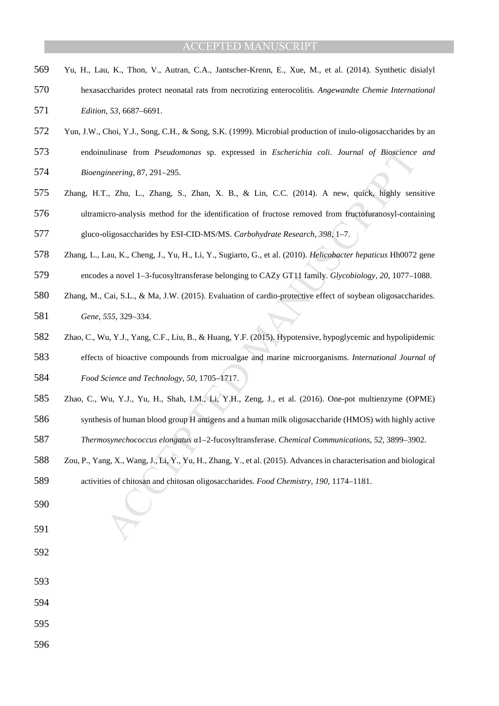- Yu, H., Lau, K., Thon, V., Autran, C.A., Jantscher-Krenn, E., Xue, M., et al. (2014). Synthetic disialyl
- hexasaccharides protect neonatal rats from necrotizing enterocolitis. *Angewandte Chemie International Edition*, *53*, 6687–6691.
- Yun, J.W., Choi, Y.J., Song, C.H., & Song, S.K. (1999). Microbial production of inulo-oligosaccharides by an
- endoinulinase from *Pseudomonas* sp. expressed in *Escherichia coli*. *Journal of Bioscience and*
- *Bioengineering*, 87, 291–295.
- Zhang, H.T., Zhu, L., Zhang, S., Zhan, X. B., & Lin, C.C. (2014). A new, quick, highly sensitive ultramicro-analysis method for the identification of fructose removed from fructofuranosyl-containing
- gluco-oligosaccharides by ESI-CID-MS/MS. *Carbohydrate Research*, *398*, 1–7.
- Zhang, L., Lau, K., Cheng, J., Yu, H., Li, Y., Sugiarto, G., et al. (2010). *Helicobacter hepaticus* Hh0072 gene
- encodes a novel 1–3-fucosyltransferase belonging to CAZy GT11 family. *Glycobiology*, *20*, 1077–1088.
- Zhang, M., Cai, S.L., & Ma, J.W. (2015). Evaluation of cardio-protective effect of soybean oligosaccharides. *Gene*, *555*, 329–334.
- ulinase from *Pseudomonas* sp. expressed in *Escherichia coli. Journal of Bioscience*<br>innering, 87, 291–295.<br>
C. Zhu, L., Zhang, S., Zhan, X. B., & Lin, C.C. (2014). A new, quick, highly sen-<br>icro-analysis method for the i Zhao, C., Wu, Y.J., Yang, C.F., Liu, B., & Huang, Y.F. (2015). Hypotensive, hypoglycemic and hypolipidemic effects of bioactive compounds from microalgae and marine microorganisms. *International Journal of Food Science and Technology*, *50*, 1705–1717.
- Zhao, C., Wu, Y.J., Yu, H., Shah, I.M., Li, Y.H., Zeng, J., et al. (2016). One-pot multienzyme (OPME)
- synthesis of human blood group H antigens and a human milk oligosaccharide (HMOS) with highly active
- *Thermosynechococcus elongatus* α1–2-fucosyltransferase. *Chemical Communications*, *52*, 3899–3902.
- Zou, P., Yang, X., Wang, J., Li, Y., Yu, H., Zhang, Y., et al. (2015). Advances in characterisation and biological
- activities of chitosan and chitosan oligosaccharides. *Food Chemistry*, *190*, 1174–1181.
- 
- 
- 
- 
- 
- 
-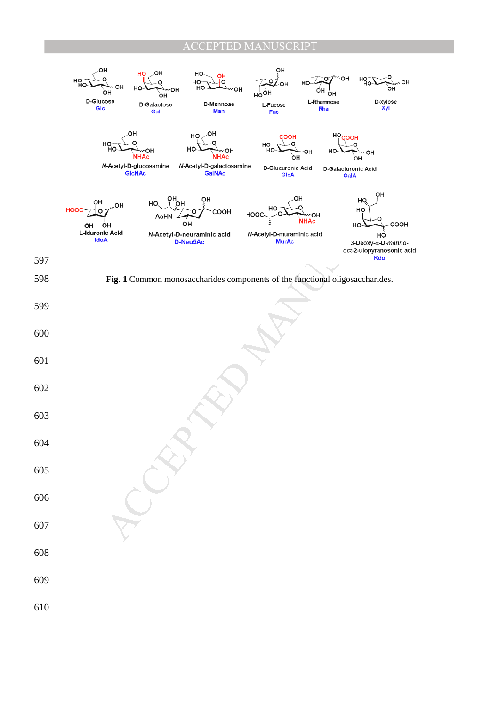# TED MANUSCRIPT

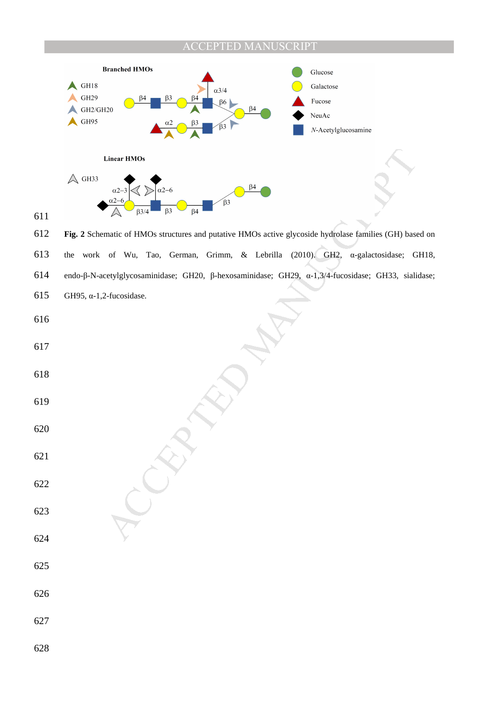### PTED MANUSCRIPT



**Fig. 2** Schematic of HMOs structures and putative HMOs active glycoside hydrolase families (GH) based on the work of Wu, Tao, German, Grimm, & Lebrilla (2010). GH2, α-galactosidase; GH18, endo-β-N-acetylglycosaminidase; GH20, β-hexosaminidase; GH29, α-1,3/4-fucosidase; GH33, sialidase; GH95, α-1,2-fucosidase.

- 
- 

- 
- 

- 
- 
- 
- 
- 
- 
-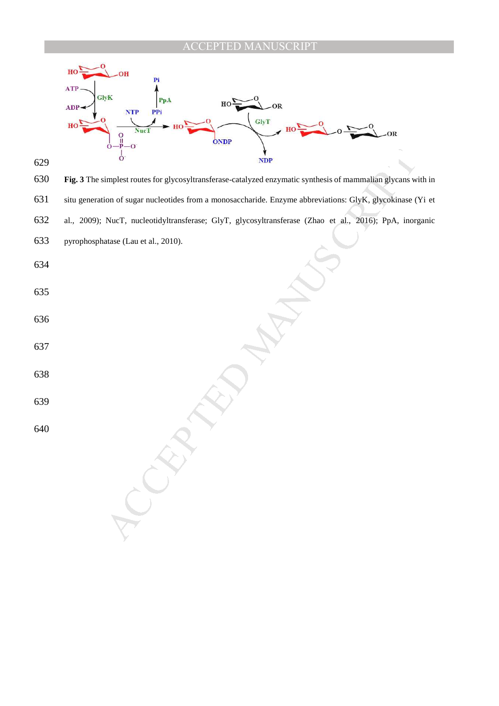



 $\frac{1}{100}$ <br>
simplest routes for glycosyltransferase-catalyzed enzymatic synthesis of mammalian glycans without strategies minimized to the European abstractions: Gily K, glycosyltransferase; Gily T, glycosyltransferase; **Fig. 3** The simplest routes for glycosyltransferase-catalyzed enzymatic synthesis of mammalian glycans with in situ generation of sugar nucleotides from a monosaccharide. Enzyme abbreviations: GlyK, glycokinase (Yi et al., 2009); NucT, nucleotidyltransferase; GlyT, glycosyltransferase (Zhao et al., 2016); PpA, inorganic pyrophosphatase (Lau et al., 2010).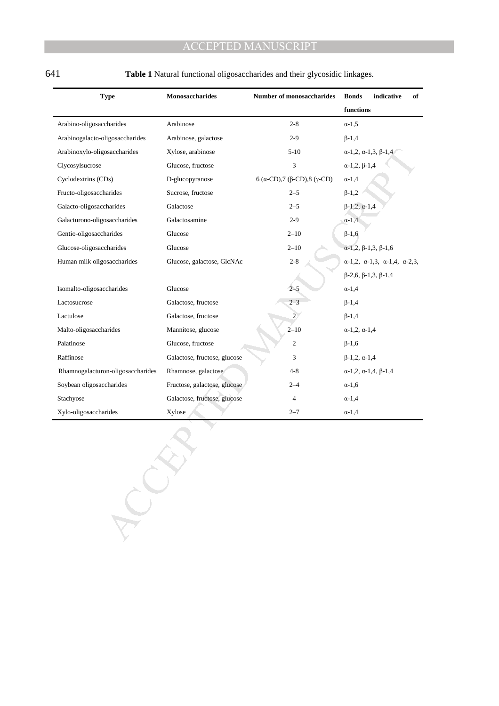| <b>Type</b>                       | Monosaccharides              | Number of monosaccharides    | indicative<br><b>Bonds</b><br>of                            |
|-----------------------------------|------------------------------|------------------------------|-------------------------------------------------------------|
|                                   |                              |                              | functions                                                   |
| Arabino-oligosaccharides          | Arabinose                    | $2 - 8$                      | $\alpha$ -1,5                                               |
| Arabinogalacto-oligosaccharides   | Arabinose, galactose         | $2-9$                        | $\beta - 1, 4$                                              |
| Arabinoxylo-oligosaccharides      | Xylose, arabinose            | $5-10$                       | $\alpha$ -1,2, $\alpha$ -1,3, $\beta$ -1,4                  |
| Clycosylsucrose                   | Glucose, fructose            | 3                            | $\alpha$ -1,2, $\beta$ -1,4                                 |
| Cyclodextrins (CDs)               | D-glucopyranose              | 6 (α-CD), 7 (β-CD), 8 (γ-CD) | $\alpha$ -1,4                                               |
| Fructo-oligosaccharides           | Sucrose, fructose            | $2 - 5$                      | $\beta - 1, 2$                                              |
| Galacto-oligosaccharides          | Galactose                    | $2 - 5$                      | $\beta - 1, 2, \alpha - 1, 4$                               |
| Galacturono-oligosaccharides      | Galactosamine                | $2-9$                        | $\alpha$ -1,4                                               |
| Gentio-oligosaccharides           | Glucose                      | $2 - 10$                     | $\beta$ -1,6                                                |
| Glucose-oligosaccharides          | Glucose                      | $2 - 10$                     | $\alpha$ -1,2, $\beta$ -1,3, $\beta$ -1,6                   |
| Human milk oligosaccharides       | Glucose, galactose, GlcNAc   | $2 - 8$                      | $\alpha$ -1,2, $\alpha$ -1,3, $\alpha$ -1,4, $\alpha$ -2,3, |
|                                   |                              |                              | $\beta$ -2,6, $\beta$ -1,3, $\beta$ -1,4                    |
| Isomalto-oligosaccharides         | Glucose                      | $2 - 5$                      | $\alpha$ -1,4                                               |
| Lactosucrose                      | Galactose, fructose          | $2 - 3$                      | $\beta - 1, 4$                                              |
| Lactulose                         | Galactose, fructose          | $\overline{2}$               | $\beta - 1, 4$                                              |
| Malto-oligosaccharides            | Mannitose, glucose           | $2 - 10$                     | $\alpha$ -1,2, $\alpha$ -1,4                                |
| Palatinose                        | Glucose, fructose            | 2                            | $\beta$ -1,6                                                |
| Raffinose                         | Galactose, fructose, glucose | 3                            | $\beta$ -1,2, $\alpha$ -1,4                                 |
| Rhamnogalacturon-oligosaccharides | Rhamnose, galactose          | 4-8                          | $\alpha$ -1,2, $\alpha$ -1,4, $\beta$ -1,4                  |
| Soybean oligosaccharides          | Fructose, galactose, glucose | $2 - 4$                      | $\alpha$ -1,6                                               |
| Stachyose                         | Galactose, fructose, glucose | 4                            | $\alpha$ -1,4                                               |
| Xylo-oligosaccharides             | Xylose                       | $2 - 7$                      | $\alpha$ -1,4                                               |
|                                   |                              |                              |                                                             |

641 **Table 1** Natural functional oligosaccharides and their glycosidic linkages.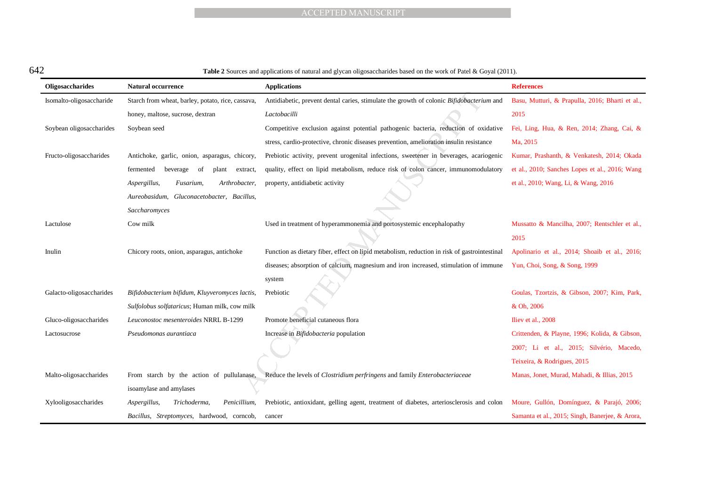| ×<br>۰, |  |
|---------|--|

#### 642 **Table 2** Sources and applications of natural and glycan oligosaccharides based on the work of Patel & Goyal (2011).

|                          |                                                   | <b>ACCEPTED MANUSCRIPT</b>                                                                                                |                                                 |
|--------------------------|---------------------------------------------------|---------------------------------------------------------------------------------------------------------------------------|-------------------------------------------------|
|                          |                                                   |                                                                                                                           |                                                 |
|                          |                                                   |                                                                                                                           |                                                 |
|                          |                                                   |                                                                                                                           |                                                 |
| $\overline{2}$           |                                                   | <b>Table 2</b> Sources and applications of natural and glycan oligosaccharides based on the work of Patel & Goyal (2011). |                                                 |
| Oligosaccharides         | <b>Natural occurrence</b>                         | <b>Applications</b>                                                                                                       | <b>References</b>                               |
| Isomalto-oligosaccharide | Starch from wheat, barley, potato, rice, cassava, | Antidiabetic, prevent dental caries, stimulate the growth of colonic Bifidobacterium and                                  | Basu, Mutturi, & Prapulla, 2016; Bharti et al., |
|                          | honey, maltose, sucrose, dextran                  | Lactobacilli                                                                                                              | 2015                                            |
| Soybean oligosaccharides | Soybean seed                                      | Competitive exclusion against potential pathogenic bacteria, reduction of oxidative                                       | Fei, Ling, Hua, & Ren, 2014; Zhang, Cai, &      |
|                          |                                                   | stress, cardio-protective, chronic diseases prevention, amelioration insulin resistance                                   | Ma, 2015                                        |
| Fructo-oligosaccharides  | Antichoke, garlic, onion, asparagus, chicory,     | Prebiotic activity, prevent urogenital infections, sweetener in beverages, acariogenic                                    | Kumar, Prashanth, & Venkatesh, 2014; Okada      |
|                          | fermented<br>beverage<br>-of<br>extract,<br>plant | quality, effect on lipid metabolism, reduce risk of colon cancer, immunomodulatory                                        | et al., 2010; Sanches Lopes et al., 2016; Wang  |
|                          | Aspergillus,<br>Fusarium,<br>Arthrobacter,        | property, antidiabetic activity                                                                                           | et al., 2010; Wang, Li, & Wang, 2016            |
|                          | Aureobasidum, Gluconacetobacter, Bacillus,        |                                                                                                                           |                                                 |
|                          | Saccharomyces                                     |                                                                                                                           |                                                 |
| Lactulose                | Cow milk                                          | Used in treatment of hyperammonemia and portosystemic encephalopathy                                                      | Mussatto & Mancilha, 2007; Rentschler et al.,   |
|                          |                                                   |                                                                                                                           | 2015                                            |
| Inulin                   | Chicory roots, onion, asparagus, antichoke        | Function as dietary fiber, effect on lipid metabolism, reduction in risk of gastrointestinal                              | Apolinario et al., 2014; Shoaib et al., 2016;   |
|                          |                                                   | diseases; absorption of calcium, magnesium and iron increased, stimulation of immune                                      | Yun, Choi, Song, & Song, 1999                   |
|                          |                                                   | system                                                                                                                    |                                                 |
| Galacto-oligosaccharides | Bifidobacterium bifidum, Kluyveromyces lactis,    | Prebiotic                                                                                                                 | Goulas, Tzortzis, & Gibson, 2007; Kim, Park,    |
|                          | Sulfolobus solfataricus; Human milk, cow milk     |                                                                                                                           | & Oh, 2006                                      |
| Gluco-oligosaccharides   | Leuconostoc mesenteroides NRRL B-1299             | Promote beneficial cutaneous flora                                                                                        | Iliev et al., 2008                              |
| Lactosucrose             | Pseudomonas aurantiaca                            | Increase in <i>Bifidobacteria</i> population                                                                              | Crittenden, & Playne, 1996; Kolida, & Gibson,   |
|                          |                                                   |                                                                                                                           | 2007; Li et al., 2015; Silvério, Macedo,        |
|                          |                                                   |                                                                                                                           | Teixeira, & Rodrigues, 2015                     |
| Malto-oligosaccharides   |                                                   | From starch by the action of pullulanase, Reduce the levels of Clostridium perfringens and family Enterobacteriaceae      | Manas, Jonet, Murad, Mahadi, & Illias, 2015     |
|                          | isoamylase and amylases                           |                                                                                                                           |                                                 |
| Xylooligosaccharides     | Penicillium,<br>Aspergillus,<br>Trichoderma,      | Prebiotic, antioxidant, gelling agent, treatment of diabetes, arteriosclerosis and colon                                  | Moure, Gullón, Domínguez, & Parajó, 2006;       |
|                          | Bacillus, Streptomyces, hardwood, corneob,        | cancer                                                                                                                    | Samanta et al., 2015; Singh, Banerjee, & Arora, |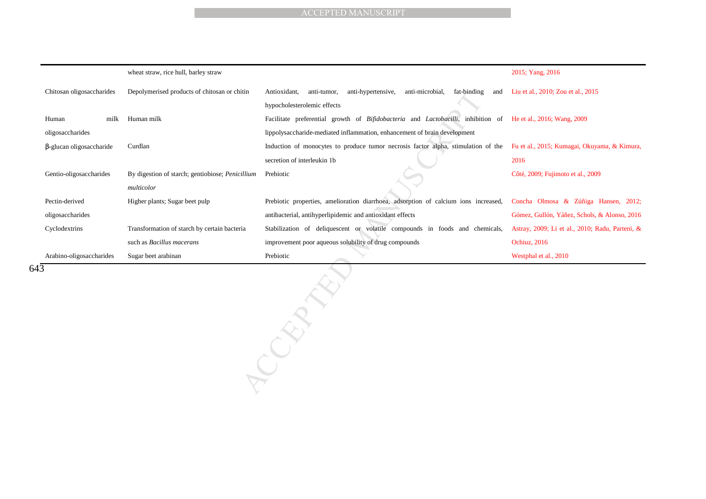|                                 |                                                  | <b>ACCEPTED MANUSCRIPT</b>                                                                                   |                                                 |
|---------------------------------|--------------------------------------------------|--------------------------------------------------------------------------------------------------------------|-------------------------------------------------|
|                                 |                                                  |                                                                                                              |                                                 |
|                                 |                                                  |                                                                                                              |                                                 |
|                                 |                                                  |                                                                                                              |                                                 |
|                                 | wheat straw, rice hull, barley straw             |                                                                                                              | 2015; Yang, 2016                                |
| Chitosan oligosaccharides       | Depolymerised products of chitosan or chitin     | Antioxidant,<br>anti-hypertensive,<br>anti-microbial,<br>anti-tumor,<br>fat-binding<br>and                   | Liu et al., 2010; Zou et al., 2015              |
|                                 |                                                  | hypocholesterolemic effects                                                                                  |                                                 |
| Human<br>milk                   | Human milk                                       | Facilitate preferential growth of Bifidobacteria and Lactobacilli, inhibition of He et al., 2016; Wang, 2009 |                                                 |
| oligosaccharides                |                                                  | lippolysaccharide-mediated inflammation, enhancement of brain development                                    |                                                 |
| $\beta$ -glucan oligosaccharide | Curdlan                                          | Induction of monocytes to produce tumor necrosis factor alpha, stimulation of the                            | Fu et al., 2015; Kumagai, Okuyama, & Kimura,    |
|                                 |                                                  | secretion of interleukin 1b                                                                                  | 2016                                            |
| Gentio-oligosaccharides         | By digestion of starch; gentiobiose; Penicillium | Prebiotic                                                                                                    | Côté, 2009; Fujimoto et al., 2009               |
|                                 | multicolor                                       |                                                                                                              |                                                 |
| Pectin-derived                  | Higher plants; Sugar beet pulp                   | Prebiotic properties, amelioration diarrhoea, adsorption of calcium ions increased,                          | Concha Olmosa & Zúñiga Hansen, 2012;            |
| oligosaccharides                |                                                  | antibacterial, antihyperlipidemic and antioxidant effects                                                    | Gómez, Gullón, Yáñez, Schols, & Alonso, 2016    |
| Cyclodextrins                   | Transformation of starch by certain bacteria     | Stabilization of deliquescent or volatile compounds in foods and chemicals,                                  | Astray, 2009; Li et al., 2010; Radu, Parteni, & |
|                                 | such as Bacillus macerans                        | improvement poor aqueous solubility of drug compounds                                                        | Ochiuz, 2016                                    |
| Arabino-oligosaccharides        | Sugar beet arabinan                              | Prebiotic                                                                                                    | Westphal et al., 2010                           |
| 3                               |                                                  | $\tilde{C}$                                                                                                  |                                                 |

643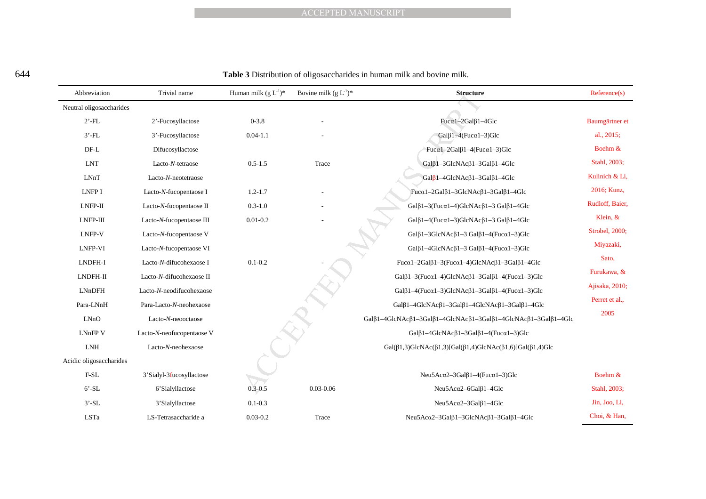#### 644 **Table 3** Distribution of oligosaccharides in human milk and bovine milk.

|                          |                           |                                                      | <b>ACCEPTED MANUSCRIPT</b> |                                                                                                                       |                 |
|--------------------------|---------------------------|------------------------------------------------------|----------------------------|-----------------------------------------------------------------------------------------------------------------------|-----------------|
|                          |                           |                                                      |                            |                                                                                                                       |                 |
|                          |                           |                                                      |                            |                                                                                                                       |                 |
|                          |                           |                                                      |                            |                                                                                                                       |                 |
|                          |                           |                                                      |                            | Table 3 Distribution of oligosaccharides in human milk and bovine milk.                                               |                 |
| Abbreviation             | Trivial name              | Human milk $(\mathbf{g} \ \mathbf{L}^{\text{-}1})^*$ | Bovine milk $(g L^{-1})^*$ | <b>Structure</b>                                                                                                      | Reference(s)    |
| Neutral oligosaccharides |                           |                                                      |                            |                                                                                                                       |                 |
| $2'$ -FL                 | 2'-Fucosyllactose         | $0 - 3.8$                                            |                            | $Fuc@1-2Gal$\beta$1-4Glc$                                                                                             | Baumgärtner et  |
| $3'$ -FL                 | 3'-Fucosyllactose         | $0.04 - 1.1$                                         |                            | Gal $\beta$ 1-4(Fuc $\alpha$ 1-3)Glc                                                                                  | al., $2015$ ;   |
| $DF-L$                   | Difucosyllactose          |                                                      |                            | Fuca1-2Gal $\beta$ 1-4(Fuca1-3)Glc                                                                                    | Boehm &         |
| <b>LNT</b>               | Lacto-N-tetraose          | $0.5 - 1.5$                                          | Trace                      | $Gal\beta1-3GlcNAc\beta1-3Gal\beta1-4Glc$                                                                             | Stahl, 2003;    |
| LNnT                     | Lacto-N-neotetraose       |                                                      |                            | $Gal_{0}^{81-4}GlcNAc_{0}^{81-3}Gal_{0}^{81-4}Glc$                                                                    | Kulinich & Li,  |
| LNFP I                   | Lacto-N-fucopentaose I    | $1.2 - 1.7$                                          |                            | Fuc $\alpha$ 1-2Gal $\beta$ 1-3GlcNAc $\beta$ 1-3Gal $\beta$ 1-4Glc                                                   | 2016; Kunz,     |
| LNFP-II                  | Lacto-N-fucopentaose II   | $0.3 - 1.0$                                          |                            | Gal $\beta$ 1-3(Fuc $\alpha$ 1-4)GlcNAc $\beta$ 1-3 Gal $\beta$ 1-4Glc                                                | Rudloff, Baier, |
| LNFP-III                 | Lacto-N-fucopentaose III  | $0.01 - 0.2$                                         |                            | Gal $\beta$ 1-4(Fuc $\alpha$ 1-3)GlcNAc $\beta$ 1-3 Gal $\beta$ 1-4Glc                                                | Klein, &        |
| LNFP-V                   | Lacto-N-fucopentaose V    |                                                      |                            | Gal $\beta$ 1-3GlcNAc $\beta$ 1-3 Gal $\beta$ 1-4(Fuc $\alpha$ 1-3)Glc                                                | Strobel, 2000;  |
| LNFP-VI                  | Lacto-N-fucopentaose VI   |                                                      |                            | Gal $\beta$ 1-4GlcNAc $\beta$ 1-3 Gal $\beta$ 1-4(Fuc $\alpha$ 1-3)Glc                                                | Miyazaki,       |
| LNDFH-I                  | Lacto-N-difucohexaose I   | $0.1 - 0.2$                                          |                            | Fuca $1-2Ga1\beta1-3(Fuc\alpha1-4)GlcNAc\beta1-3Ga1\beta1-4Glc$                                                       | Sato,           |
| LNDFH-II                 | Lacto-N-difucohexaose II  |                                                      |                            | Gal $\beta$ 1-3(Fuc $\alpha$ 1-4)GlcNAc $\beta$ 1-3Gal $\beta$ 1-4(Fuc $\alpha$ 1-3)Glc                               | Furukawa, &     |
| <b>LNnDFH</b>            | Lacto-N-neodifucohexaose  |                                                      |                            | Gal $\beta$ 1-4(Fuc $\alpha$ 1-3)GlcNAc $\beta$ 1-3Gal $\beta$ 1-4(Fuc $\alpha$ 1-3)Glc                               | Ajisaka, 2010;  |
| Para-LNnH                | Para-Lacto-N-neohexaose   |                                                      |                            | Gal $\beta$ 1-4GlcNAc $\beta$ 1-3Gal $\beta$ 1-4GlcNAc $\beta$ 1-3Gal $\beta$ 1-4Glc                                  | Perret et al.,  |
| LNo                      | Lacto-N-neooctaose        |                                                      |                            | Gal $\beta$ 1-4GlcNAc $\beta$ 1-3Gal $\beta$ 1-4GlcNAc $\beta$ 1-3Gal $\beta$ 1-4GlcNAc $\beta$ 1-3Gal $\beta$ 1-4Glc | 2005            |
| <b>LNnFPV</b>            | Lacto-N-neofucopentaose V |                                                      |                            | Gal $\beta$ 1-4GlcNAc $\beta$ 1-3Gal $\beta$ 1-4(Fuc $\alpha$ 1-3)Glc                                                 |                 |
| <b>LNH</b>               | Lacto-N-neohexaose        |                                                      |                            | Gal $(\beta1,3)$ GlcNAc $(\beta1,3)$ [Gal $(\beta1,4)$ GlcNAc $(\beta1,6)$ ]Gal $(\beta1,4)$ Glc                      |                 |
| Acidic oligosaccharides  |                           |                                                      |                            |                                                                                                                       |                 |
| $F-SL$                   | 3'Sialyl-3fucosyllactose  |                                                      |                            | Neu5Ac $\alpha$ 2-3Gal $\beta$ 1-4(Fuc $\alpha$ 1-3)Glc                                                               | Boehm &         |
| $6'$ -SL                 | 6'Sialyllactose           | $0.3 - 0.5$                                          | $0.03 - 0.06$              | Neu5Ac $\alpha$ 2-6Gal $\beta$ 1-4Glc                                                                                 | Stahl, 2003;    |
| $3'$ -SL                 | 3'Sialyllactose           | $0.1 - 0.3$                                          |                            | Neu5Ac $\alpha$ 2-3Gal $\beta$ 1-4Glc                                                                                 | Jin, Joo, Li,   |
| LSTa                     | LS-Tetrasaccharide a      | $0.03 - 0.2$                                         | Trace                      | Neu5Ac $\alpha$ 2-3Gal $\beta$ 1-3GlcNAc $\beta$ 1-3Gal $\beta$ 1-4Glc                                                | Choi, & Han,    |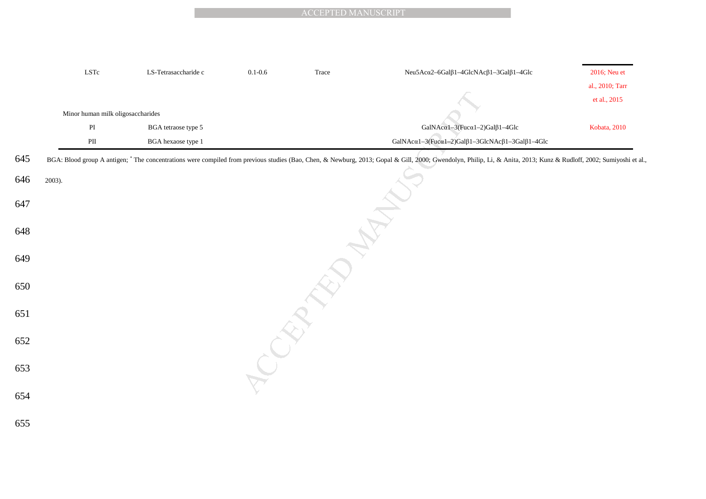|     | $\operatorname{LSTc}$             | LS-Tetrasaccharide c | $0.1 - 0.6$ | Trace | Neu5Acα2-6Galβ1-4GlcNAcβ1-3Galβ1-4Glc                                                                                                                                                                               | 2016; Neu et    |
|-----|-----------------------------------|----------------------|-------------|-------|---------------------------------------------------------------------------------------------------------------------------------------------------------------------------------------------------------------------|-----------------|
|     |                                   |                      |             |       |                                                                                                                                                                                                                     | al., 2010; Tarr |
|     |                                   |                      |             |       |                                                                                                                                                                                                                     | et al., 2015    |
|     | Minor human milk oligosaccharides |                      |             |       |                                                                                                                                                                                                                     |                 |
|     | $\mathbf{PI}$                     | BGA tetraose type 5  |             |       | GalNAca1-3(Fuca1-2)Galß1-4Glc                                                                                                                                                                                       | Kobata, 2010    |
|     | $\mathbf{P}\mathbf{II}$           | BGA hexaose type 1   |             |       | GalNAc $\alpha$ 1-3(Fuc $\alpha$ 1-2)Gal $\beta$ 1-3GlcNAc $\beta$ 1-3Gal $\beta$ 1-4Glc                                                                                                                            |                 |
| 645 |                                   |                      |             |       | BGA: Blood group A antigen; * The concentrations were compiled from previous studies (Bao, Chen, & Newburg, 2013; Gopal & Gill, 2000; Gwendolyn, Philip, Li, & Anita, 2013; Kunz & Rudloff, 2002; Sumiyoshi et al., |                 |
| 646 | 2003).                            |                      |             |       |                                                                                                                                                                                                                     |                 |
| 647 |                                   |                      |             |       |                                                                                                                                                                                                                     |                 |
| 648 |                                   |                      |             |       |                                                                                                                                                                                                                     |                 |
| 649 |                                   |                      |             |       |                                                                                                                                                                                                                     |                 |
| 650 |                                   |                      |             |       |                                                                                                                                                                                                                     |                 |
| 651 |                                   |                      |             |       |                                                                                                                                                                                                                     |                 |
| 652 |                                   |                      |             |       |                                                                                                                                                                                                                     |                 |
| 653 |                                   |                      |             |       |                                                                                                                                                                                                                     |                 |
| 654 |                                   |                      |             |       |                                                                                                                                                                                                                     |                 |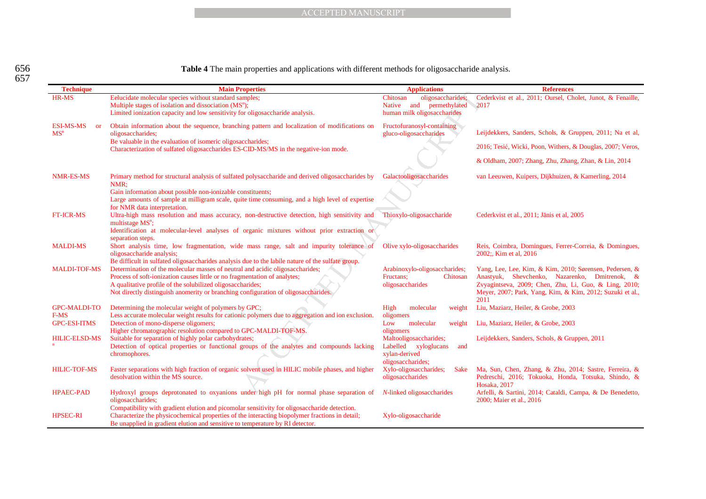**Table 4** The main properties and applications with different methods for oligosaccharide analysis.

|                               | <b>ACCEPTED MANUSCRIPT</b>                                                                                                              |                                           |                                                                                                        |
|-------------------------------|-----------------------------------------------------------------------------------------------------------------------------------------|-------------------------------------------|--------------------------------------------------------------------------------------------------------|
|                               |                                                                                                                                         |                                           |                                                                                                        |
|                               |                                                                                                                                         |                                           |                                                                                                        |
|                               |                                                                                                                                         |                                           |                                                                                                        |
|                               | Table 4 The main properties and applications with different methods for oligosaccharide analysis.                                       |                                           |                                                                                                        |
| <b>Technique</b>              | <b>Main Properties</b>                                                                                                                  | <b>Applications</b>                       | <b>References</b>                                                                                      |
| HR-MS                         | Eelucidate molecular species without standard samples;                                                                                  | oligosaccharides;<br>Chitosan             | Cederkvist et al., 2011; Oursel, Cholet, Junot, & Fenaille,                                            |
|                               | Multiple stages of isolation and dissociation (MS <sup>n</sup> );                                                                       | Native and permethylated                  | 2017                                                                                                   |
|                               | Limited ionization capacity and low sensitivity for oligosaccharide analysis.                                                           | human milk oligosaccharides               |                                                                                                        |
| <b>ESI-MS-MS</b><br><b>or</b> | Obtain information about the sequence, branching pattern and localization of modifications on                                           | Fructofuranosyl-containing                |                                                                                                        |
| MS <sup>n</sup>               | oligosaccharides;<br>Be valuable in the evaluation of isomeric oligosaccharides;                                                        | gluco-oligosaccharides                    | Leijdekkers, Sanders, Schols, & Gruppen, 2011; Na et al,                                               |
|                               | Characterization of sulfated oligosaccharides ES-CID-MS/MS in the negative-ion mode.                                                    |                                           | 2016; Tesić, Wicki, Poon, Withers, & Douglas, 2007; Veros,                                             |
|                               |                                                                                                                                         |                                           | & Oldham, 2007; Zhang, Zhu, Zhang, Zhan, & Lin, 2014                                                   |
| NMR-ES-MS                     | Primary method for structural analysis of sulfated polysaccharide and derived oligosaccharides by<br>NMR:                               | Galactooligosaccharides                   | van Leeuwen, Kuipers, Dijkhuizen, & Kamerling, 2014                                                    |
|                               | Gain information about possible non-ionizable constituents;                                                                             |                                           |                                                                                                        |
|                               | Large amounts of sample at milligram scale, quite time consuming, and a high level of expertise                                         |                                           |                                                                                                        |
|                               | for NMR data interpretation.                                                                                                            |                                           |                                                                                                        |
| <b>FT-ICR-MS</b>              | Ultra-high mass resolution and mass accuracy, non-destructive detection, high sensitivity and                                           | Thioxylo-oligosaccharide                  | Cederkvist et al., 2011; Jänis et al, 2005                                                             |
|                               | multistage $MS^n$ ;                                                                                                                     |                                           |                                                                                                        |
|                               | Identification at molecular-level analyses of organic mixtures without prior extraction or<br>separation steps.                         |                                           |                                                                                                        |
| <b>MALDI-MS</b>               | Short analysis time, low fragmentation, wide mass range, salt and impurity tolerance of                                                 | Olive xylo-oligosaccharides               | Reis, Coimbra, Domingues, Ferrer-Correia, & Domingues,                                                 |
|                               | oligosaccharide analysis;                                                                                                               |                                           | 2002; Kim et al, 2016                                                                                  |
|                               | Be difficult in sulfated oligosaccharides analysis due to the labile nature of the sulfate group.                                       |                                           |                                                                                                        |
| <b>MALDI-TOF-MS</b>           | Determination of the molecular masses of neutral and acidic oligosaccharides;                                                           | Arabinoxylo-oligosaccharides;             | Yang, Lee, Lee, Kim, & Kim, 2010; Sørensen, Pedersen, &                                                |
|                               | Process of soft-ionization causes little or no fragmentation of analytes;<br>A qualitative profile of the solubilized oligosaccharides; | Fructans:<br>Chitosan<br>oligosaccharides | Anastyuk, Shevchenko, Nazarenko, Dmitrenok, &<br>Zvyagintseva, 2009; Chen, Zhu, Li, Guo, & Ling, 2010; |
|                               | Not directly distinguish anomerity or branching configuration of oligosaccharides.                                                      |                                           | Meyer, 2007; Park, Yang, Kim, & Kim, 2012; Suzuki et al.,                                              |
|                               |                                                                                                                                         |                                           | 2011                                                                                                   |
| <b>GPC-MALDI-TO</b>           | Determining the molecular weight of polymers by GPC;                                                                                    | High<br>molecular<br>weight               | Liu, Maziarz, Heiler, & Grobe, 2003                                                                    |
| F-MS                          | Less accurate molecular weight results for cationic polymers due to aggregation and ion exclusion.                                      | oligomers                                 |                                                                                                        |
| <b>GPC-ESI-ITMS</b>           | Detection of mono-disperse oligomers;                                                                                                   | Low<br>molecular<br>weight                | Liu, Maziarz, Heiler, & Grobe, 2003                                                                    |
| <b>HILIC-ELSD-MS</b>          | Higher chromatographic resolution compared to GPC-MALDI-TOF-MS.<br>Suitable for separation of highly polar carbohydrates;               | oligomers<br>Maltooligosaccharides;       | Leijdekkers, Sanders, Schols, & Gruppen, 2011                                                          |
|                               | Detection of optical properties or functional groups of the analytes and compounds lacking                                              | Labelled xyloglucans<br>and               |                                                                                                        |
|                               | chromophores.                                                                                                                           | xylan-derived                             |                                                                                                        |
|                               |                                                                                                                                         | oligosaccharides;                         |                                                                                                        |
| <b>HILIC-TOF-MS</b>           | Faster separations with high fraction of organic solvent used in HILIC mobile phases, and higher                                        | Xylo-oligosaccharides;<br>Sake            | Ma, Sun, Chen, Zhang, & Zhu, 2014; Sastre, Ferreira, &                                                 |
|                               | desolvation within the MS source.                                                                                                       | oligosaccharides                          | Pedreschi, 2016; Tokuoka, Honda, Totsuka, Shindo, &<br>Hosaka, 2017                                    |
| <b>HPAEC-PAD</b>              | Hydroxyl groups deprotonated to oxyanions under high pH for normal phase separation of                                                  | <i>N</i> -linked oligosaccharides         | Arfelli, & Sartini, 2014; Cataldi, Campa, & De Benedetto,                                              |
|                               | oligosaccharides;                                                                                                                       |                                           | 2000; Maier et al., 2016                                                                               |
|                               | Compatibility with gradient elution and picomolar sensitivity for oligosaccharide detection.                                            |                                           |                                                                                                        |
| <b>HPSEC-RI</b>               | Characterize the physicochemical properties of the interacting biopolymer fractions in detail;                                          | Xylo-oligosaccharide                      |                                                                                                        |
|                               | Be unapplied in gradient elution and sensitive to temperature by RI detector.                                                           |                                           |                                                                                                        |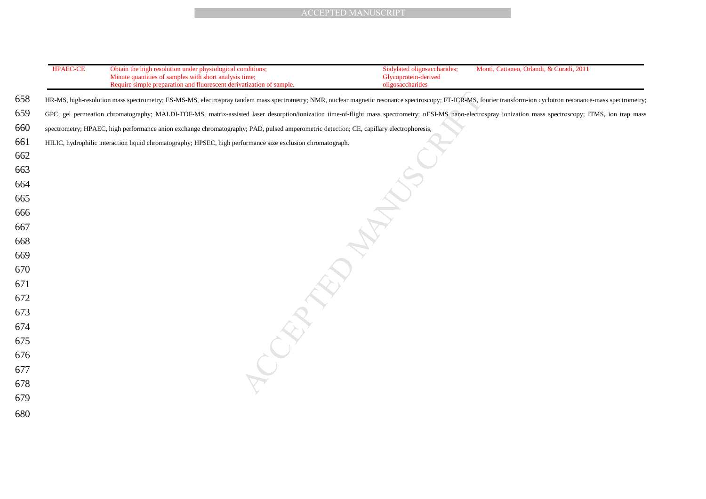| <b>ACCEPTED MANUSCRIPT</b> |                                                                                                                                                                                                                  |                                                                          |                                          |
|----------------------------|------------------------------------------------------------------------------------------------------------------------------------------------------------------------------------------------------------------|--------------------------------------------------------------------------|------------------------------------------|
|                            |                                                                                                                                                                                                                  |                                                                          |                                          |
|                            |                                                                                                                                                                                                                  |                                                                          |                                          |
| <b>HPAEC-CE</b>            | Obtain the high resolution under physiological conditions;<br>Minute quantities of samples with short analysis time;<br>Require simple preparation and fluorescent derivatization of sample.                     | Sialylated oligosaccharides;<br>Glycoprotein-derived<br>oligosaccharides | Monti, Cattaneo, Orlandi, & Curadi, 2011 |
|                            | HR-MS, high-resolution mass spectrometry; ES-MS-MS, electrospray tandem mass spectrometry; NMR, nuclear magnetic resonance spectroscopy; FT-ICR-MS, fourier transform-ion cyclotron resonance-mass spectrometry; |                                                                          |                                          |
|                            | GPC, gel permeation chromatography; MALDI-TOF-MS, matrix-assisted laser desorption/ionization time-of-flight mass spectrometry; nESI-MS nano-electrospray ionization mass spectroscopy; ITMS, ion trap mass      |                                                                          |                                          |
|                            | spectrometry; HPAEC, high performance anion exchange chromatography; PAD, pulsed amperometric detection; CE, capillary electrophoresis,                                                                          |                                                                          |                                          |
|                            | HILIC, hydrophilic interaction liquid chromatography; HPSEC, high performance size exclusion chromatograph.                                                                                                      |                                                                          |                                          |
|                            |                                                                                                                                                                                                                  |                                                                          |                                          |
|                            |                                                                                                                                                                                                                  |                                                                          |                                          |
|                            |                                                                                                                                                                                                                  |                                                                          |                                          |
|                            |                                                                                                                                                                                                                  |                                                                          |                                          |
|                            |                                                                                                                                                                                                                  |                                                                          |                                          |
|                            |                                                                                                                                                                                                                  |                                                                          |                                          |
|                            |                                                                                                                                                                                                                  |                                                                          |                                          |
|                            |                                                                                                                                                                                                                  |                                                                          |                                          |
|                            |                                                                                                                                                                                                                  |                                                                          |                                          |
|                            |                                                                                                                                                                                                                  |                                                                          |                                          |
|                            |                                                                                                                                                                                                                  |                                                                          |                                          |
|                            |                                                                                                                                                                                                                  |                                                                          |                                          |
|                            |                                                                                                                                                                                                                  |                                                                          |                                          |
|                            |                                                                                                                                                                                                                  |                                                                          |                                          |
|                            |                                                                                                                                                                                                                  |                                                                          |                                          |
|                            |                                                                                                                                                                                                                  |                                                                          |                                          |
|                            |                                                                                                                                                                                                                  |                                                                          |                                          |
|                            |                                                                                                                                                                                                                  |                                                                          |                                          |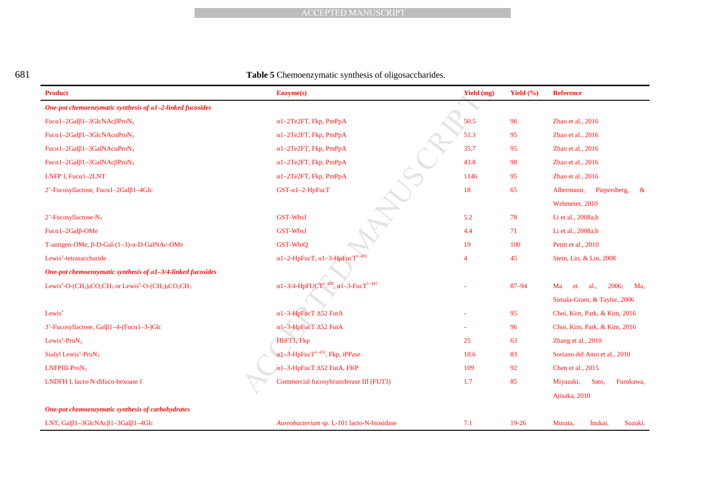| ٦                 |         |  |
|-------------------|---------|--|
|                   |         |  |
| ×<br>I<br>×<br>۰, | I<br>۰. |  |

#### 681 **Table 5** Chemoenzymatic synthesis of oligosaccharides.

|                                                                                                | <b>ACCEPTED MANUSCRIPT</b>                                                  |                |               |                                   |
|------------------------------------------------------------------------------------------------|-----------------------------------------------------------------------------|----------------|---------------|-----------------------------------|
|                                                                                                |                                                                             |                |               |                                   |
|                                                                                                |                                                                             |                |               |                                   |
|                                                                                                |                                                                             |                |               |                                   |
|                                                                                                | Table 5 Chemoenzymatic synthesis of oligosaccharides.                       |                |               |                                   |
| <b>Product</b>                                                                                 | Enzyme(s)                                                                   | Yield (mg)     | Yield $(\% )$ | <b>Reference</b>                  |
| One-pot chemoenzymatic synthesis of a1-2-linked fucosides                                      |                                                                             |                |               |                                   |
| Fucal-2Gal $\beta$ 1-3GlcNAc $\beta$ ProN <sub>3</sub>                                         | $\alpha$ 1-2Te2FT, Fkp, PmPpA                                               | 50.5           | 96            | Zhao et al., 2016                 |
| Fuca1-2Gal $\beta$ 1-3GlcNAcaProN <sub>3</sub>                                                 | $\alpha$ 1-2Te2FT, Fkp, PmPpA                                               | 51.3           | 95            | Zhao et al., 2016                 |
| Fucal-2Gal $\beta$ 1-3GalNAcaProN <sub>3</sub>                                                 | $\alpha$ 1-2Te2FT, Fkp, PmPpA                                               | 35.7           | 95            | Zhao et al., 2016                 |
| Fucal-2Gal $\beta$ 1-3GalNAc $\beta$ ProN <sub>3</sub>                                         | $\alpha$ 1-2Te2FT, Fkp, PmPpA                                               | 43.8           | 98            | Zhao et al., 2016                 |
| LNFP I, Fuca $1-2LNT$                                                                          | $\alpha$ 1-2Te2FT, Fkp, PmPpA                                               | 1146           | 95            | Zhao et al., 2016                 |
| 2'-Fucosyllactose, Fucα1-2Galβ1-4Glc                                                           | GST- $\alpha$ 1-2-HpFucT                                                    | 18             | 65            | Albermann,<br>Piepersberg,<br>- & |
|                                                                                                |                                                                             |                |               | Wehmeier, 2010                    |
| $2'$ -Fucosyllactose-N <sub>3</sub>                                                            | GST-WbsJ                                                                    | 5.2            | 78            | Li et al., 2008a,b                |
| Fucα1-2Galβ-OMe                                                                                | GST-WbsJ                                                                    | 4.4            | 71            | Li et al., 2008a,b                |
| T-antigen-OMe, $\beta$ -D-Gal- $(1-3)$ - $\alpha$ -D-GalNAc-OMe                                | GST-WbiQ                                                                    | 19             | 100           | Pettit et al., 2010               |
| Lewis <sup>y</sup> -tetrasaccharide                                                            | $\alpha$ 1-2-HpFucT, $\alpha$ 1-3-HpFucT <sup>1-433</sup>                   | $\overline{4}$ | 45            | Stein, Lin, & Lin, 2008           |
| One-pot chemoenzymatic synthesis of a1-3/4-linked fucosides                                    |                                                                             |                |               |                                   |
| Lewis <sup>a</sup> -O- $\rm (CH_2)_8CO_2CH_3$ or Lewis <sup>x</sup> -O- $\rm (CH_2)_8CO_2CH_3$ | $\alpha$ 1-3/4-HpFUCT <sup>1-428</sup> , $\alpha$ 1-3-FucT <sup>1-441</sup> |                | $87 - 94$     | 2006;<br>Ma<br>et<br>al.,<br>Ma,  |
|                                                                                                |                                                                             |                |               | Simala-Grant, & Taylor, 2006      |
| Lewis <sup>x</sup>                                                                             | α1-3-HpFucT Δ52 FutA                                                        |                | 95            | Choi, Kim, Park, & Kim, 2016      |
| 3'-Fucosyllactose, Galβ1-4-(Fucα1-3-)Glc                                                       | α1-3-HpFucT Δ52 FutA                                                        |                | 96            | Choi, Kim, Park, & Kim, 2016      |
| Lewis <sup>x</sup> -Pro $N_3$                                                                  | HhFT1, Fkp                                                                  | 25             | 63            | Zhang et al., 2010                |
| Sialyl Lewis <sup><math>x</math></sup> -Pro $N_3$                                              | $\alpha$ 1-3-HpFucT <sup>1-433</sup> , Fkp, iPPase                          | 18.6           | 83            | Soriano del Amo et al., 2010      |
| LNFPIII-ProN3                                                                                  | $\alpha$ 1-3-HpFucT $\Delta$ 52 FutA, FKP                                   | 109            | 92            | Chen et al., 2015                 |
| LNDFH I, lacto-N-difuco-hexoase I                                                              | Commercial fucosyltransferase III (FUT3)                                    | 1.7            | 85            | Miyazaki,<br>Sato,<br>Furukawa,   |
|                                                                                                |                                                                             |                |               | Ajisaka, 2010                     |
| One-pot chemoenzymatic synthesis of carbohydrates                                              |                                                                             |                |               |                                   |
| LNT, $Ga1\beta1-3GlcNAc\beta1-3Ga1\beta1-4Glc$                                                 | Aureobacterium sp. L-101 lacto-N-biosidase                                  | 7.1            | 19-26         | Murata,<br>Inukai,<br>Suzuki,     |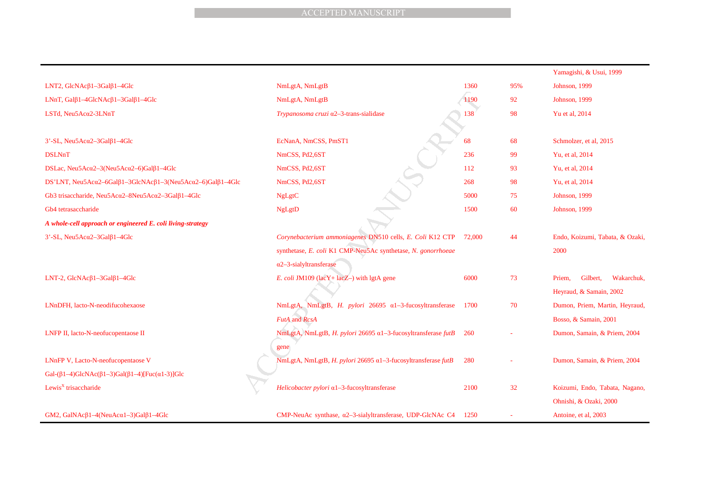|                                                                                                     | <b>ACCEPTED MANUSCRIPT</b>                                     |        |     |                                  |
|-----------------------------------------------------------------------------------------------------|----------------------------------------------------------------|--------|-----|----------------------------------|
|                                                                                                     |                                                                |        |     |                                  |
|                                                                                                     |                                                                |        |     |                                  |
|                                                                                                     |                                                                |        |     |                                  |
|                                                                                                     |                                                                |        |     | Yamagishi, & Usui, 1999          |
| LNT2, $GlcNAc\beta1-3Ga1\beta1-4Glc$                                                                | NmLgtA, NmLgtB                                                 | 1360   | 95% | Johnson, 1999                    |
| LNnT, Gal $\beta$ 1-4GlcNAc $\beta$ 1-3Gal $\beta$ 1-4Glc                                           | NmLgtA, NmLgtB                                                 | 1190   | 92  | Johnson, 1999                    |
| LSTd, Neu5Acα2-3LNnT                                                                                | Trypanosoma cruzi a2-3-trans-sialidase                         | 138    | 98  | Yu et al, 2014                   |
|                                                                                                     |                                                                |        |     |                                  |
| $3'$ -SL, Neu5Ac $\alpha$ 2-3Gal $\beta$ 1-4Glc                                                     | EcNanA, NmCSS, PmST1                                           | 68     | 68  | Schmolzer, et al, 2015           |
| <b>DSLNnT</b>                                                                                       | NmCSS, Pd2,6ST                                                 | 236    | 99  | Yu, et al, 2014                  |
| DSLac, Neu5Ac $\alpha$ 2-3(Neu5Ac $\alpha$ 2-6)Gal $\beta$ 1-4Glc                                   | NmCSS, Pd2,6ST                                                 | 112    | 93  | Yu, et al, 2014                  |
| DS'LNT, Neu5Ac $\alpha$ 2-6Gal $\beta$ 1-3GlcNAc $\beta$ 1-3(Neu5Ac $\alpha$ 2-6)Gal $\beta$ 1-4Glc | NmCSS, Pd2,6ST                                                 | 268    | 98  | Yu, et al, 2014                  |
| Gb3 trisaccharide, Neu5Acα2-8Neu5Acα2-3Galβ1-4Glc                                                   | <b>NgLgtC</b>                                                  | 5000   | 75  | Johnson, 1999                    |
| Gb4 tetrasaccharide                                                                                 | <b>NgLgtD</b>                                                  | 1500   | 60  | Johnson, 1999                    |
| A whole-cell approach or engineered E. coli living-strategy                                         |                                                                |        |     |                                  |
| $3'$ -SL, Neu5Ac $\alpha$ 2-3Gal $\beta$ 1-4Glc                                                     | Corynebacterium ammoniagenes DN510 cells, E. Coli K12 CTP      | 72,000 | 44  | Endo, Koizumi, Tabata, & Ozaki,  |
|                                                                                                     | synthetase, E. coli K1 CMP-Neu5Ac synthetase, N. gonorrhoeae   |        |     | 2000                             |
|                                                                                                     | $\alpha$ 2-3-sialyltransferase                                 |        |     |                                  |
| LNT-2, $GlcNAc\beta1-3Ga1\beta1-4Glc$                                                               | E. coli JM109 (lac $Y$ + lac $Z$ –) with lgtA gene             | 6000   | 73  | Priem,<br>Gilbert,<br>Wakarchuk, |
|                                                                                                     |                                                                |        |     | Heyraud, & Samain, 2002          |
| LNnDFH, lacto-N-neodifucohexaose                                                                    | NmLgtA, NmLgtB, H. pylori 26695 α1-3-fucosyltransferase        | 1700   | 70  | Dumon, Priem, Martin, Heyraud,   |
|                                                                                                     | <b>FutA</b> and RcsA                                           |        |     | Bosso, & Samain, 2001            |
| LNFP II, lacto-N-neofucopentaose II                                                                 | NmLgtA, NmLgtB, H. pylori 26695 α1-3-fucosyltransferase futB   | 260    |     | Dumon, Samain, & Priem, 2004     |
|                                                                                                     | gene                                                           |        |     |                                  |
| LNnFP V, Lacto-N-neofucopentaose V                                                                  | NmLgtA, NmLgtB, H. pylori 26695 α1-3-fucosyltransferase futB   | 280    |     | Dumon, Samain, & Priem, 2004     |
| Gal- $(\beta1-4)$ GlcNAc $(\beta1-3)$ Gal $(\beta1-4)$ [Fuc $(\alpha1-3)$ ]Glc                      |                                                                |        |     |                                  |
| Lewis <sup>X</sup> trisaccharide                                                                    | Helicobacter pylori a1-3-fucosyltransferase                    | 2100   | 32  | Koizumi, Endo, Tabata, Nagano,   |
|                                                                                                     |                                                                |        |     | Ohnishi, & Ozaki, 2000           |
| GM2, GalNAc $\beta$ 1-4(NeuAc $\alpha$ 1-3)Gal $\beta$ 1-4Glc                                       | CMP-NeuAc synthase, a2-3-sialyltransferase, UDP-GlcNAc C4 1250 |        |     | Antoine, et al, 2003             |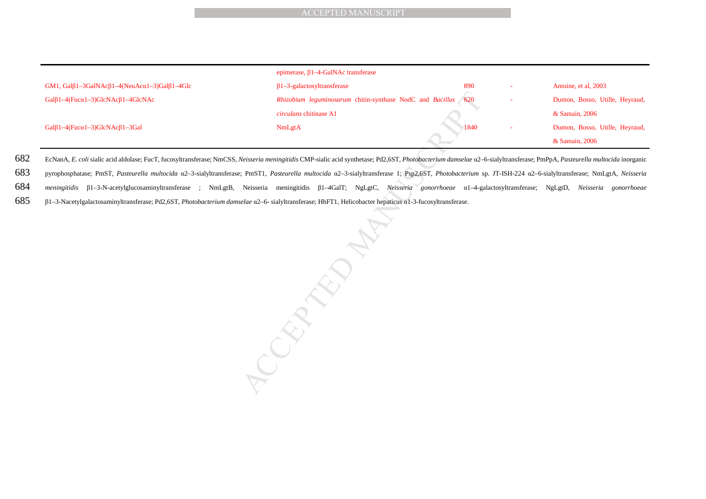|                                                                              | epimerase, $\beta$ 1-4-GalNAc transferase                     |      |                                |
|------------------------------------------------------------------------------|---------------------------------------------------------------|------|--------------------------------|
| GM1, Gal $\beta$ 1-3GalNAc $\beta$ 1-4(NeuAc $\alpha$ 1-3)Gal $\beta$ 1-4Glc | $\beta$ 1-3-galactosyltransferase                             | 890  | Antoine, et al, 2003           |
| $Gal\beta1-4(Fuca1-3)GlcNAc\beta1-4GlcNAc$                                   | Rhizobium leguminosarum chitin-synthase NodC and Bacillus 620 |      | Dumon, Bosso, Utille, Heyraud, |
|                                                                              | <i>circulans</i> chitinase A1                                 |      | & Samain, 2006                 |
| Gal $\beta$ 1-4(Fuc $\alpha$ 1-3)GlcNAc $\beta$ 1-3Gal                       | <b>NmLgtA</b>                                                 | 1840 | Dumon, Bosso, Utille, Heyraud, |
|                                                                              |                                                               |      | & Samain, 2006                 |

682 EcNanA, E. coli sialic acid aldolase; FucT, fucosyltransferase; NmCSS, Neisseria meningitidis CMP-sialic acid synthetase; Pd2,6ST, Photobacterium damselae a2–6-sialyltransferase; PmPpA, Pasteurella multocida inorganic

683 pyrophosphatase; PmST, *Pasteurella multocida* a2–3-sialyltransferase; PmST1, *Pasteurella multocida* a2–3-sialyltransferase 1; Psp2,6ST, *Photobacterium* sp. JT-ISH-224 a2–6-sialyltransferase; NmLgtA, *Neisseria* 

684 *meningitidis* β1–3-N-acetylglucosaminyltransferase ; NmLgtB, Neisseria meningitidis β1–4GalT; NgLgtC, *Neisseria gonorrhoeae* α1–4-galactosyltransferase; NgLgtD, *Neisseria gonorrhoeae* 

685 β1–3-Nacetylgalactosaminyltransferase; Pd2,6ST, *Photobacterium damselae* $e$  α2–6- sialyltransferase; HhFT1, Helicobacter hepaticus α1-3-fucosyltransferase.

 $\text{ACCEPTED MANUSCRIPT}$ <br>
epimerase,  $\beta$ 1-4-GalNAc transferase  $\beta$ <br> *Rhizobium leguninosarum* chitin-synthase NodC and *Bacillus (620*<br>
circulass chitinas A1<br>
NmLgtA<br>
Neisseria meningitidis CMP-sialic acid synthetase; PQL6ST, *P*